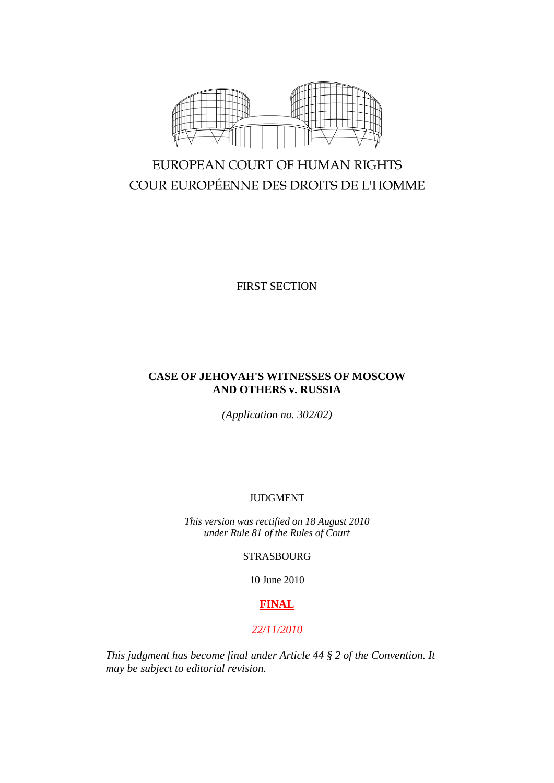

# EUROPEAN COURT OF HUMAN RIGHTS COUR EUROPÉENNE DES DROITS DE L'HOMME

FIRST SECTION

## **CASE OF JEHOVAH'S WITNESSES OF MOSCOW AND OTHERS v. RUSSIA**

*(Application no. 302/02)*

## JUDGMENT

*This version was rectified on 18 August 2010 under Rule 81 of the Rules of Court*

STRASBOURG

10 June 2010

## **FINAL**

## *22/11/2010*

*This judgment has become final under Article 44 § 2 of the Convention. It may be subject to editorial revision.*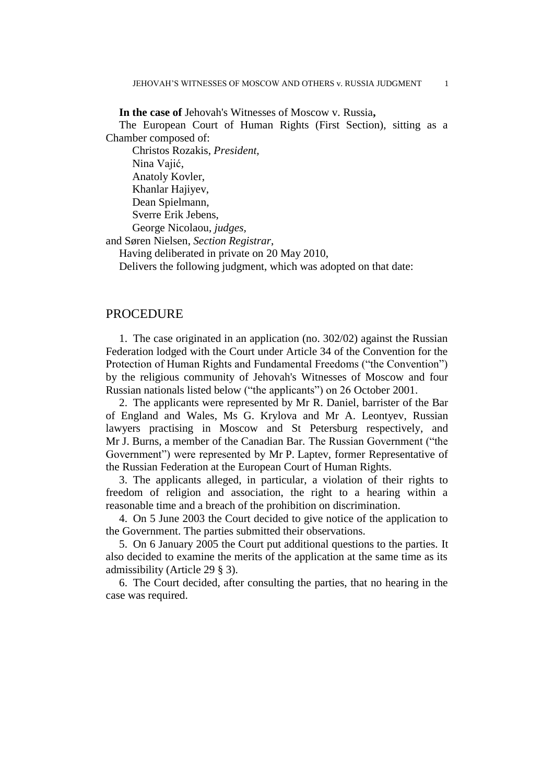**In the case of** Jehovah's Witnesses of Moscow v. Russia**,**

The European Court of Human Rights (First Section), sitting as a Chamber composed of:

Christos Rozakis, *President,* Nina Vajić, Anatoly Kovler, Khanlar Hajiyev, Dean Spielmann, Sverre Erik Jebens, George Nicolaou, *judges,* and Søren Nielsen, *Section Registrar*,

Having deliberated in private on 20 May 2010,

Delivers the following judgment, which was adopted on that date:

## PROCEDURE

1. The case originated in an application (no. 302/02) against the Russian Federation lodged with the Court under Article 34 of the Convention for the Protection of Human Rights and Fundamental Freedoms ("the Convention") by the religious community of Jehovah's Witnesses of Moscow and four Russian nationals listed below ("the applicants") on 26 October 2001.

2. The applicants were represented by Mr R. Daniel, barrister of the Bar of England and Wales, Ms G. Krylova and Mr A. Leontyev, Russian lawyers practising in Moscow and St Petersburg respectively, and Mr J. Burns, a member of the Canadian Bar. The Russian Government ("the Government") were represented by Mr P. Laptev, former Representative of the Russian Federation at the European Court of Human Rights.

3. The applicants alleged, in particular, a violation of their rights to freedom of religion and association, the right to a hearing within a reasonable time and a breach of the prohibition on discrimination.

4. On 5 June 2003 the Court decided to give notice of the application to the Government. The parties submitted their observations.

5. On 6 January 2005 the Court put additional questions to the parties. It also decided to examine the merits of the application at the same time as its admissibility (Article 29 § 3).

6. The Court decided, after consulting the parties, that no hearing in the case was required.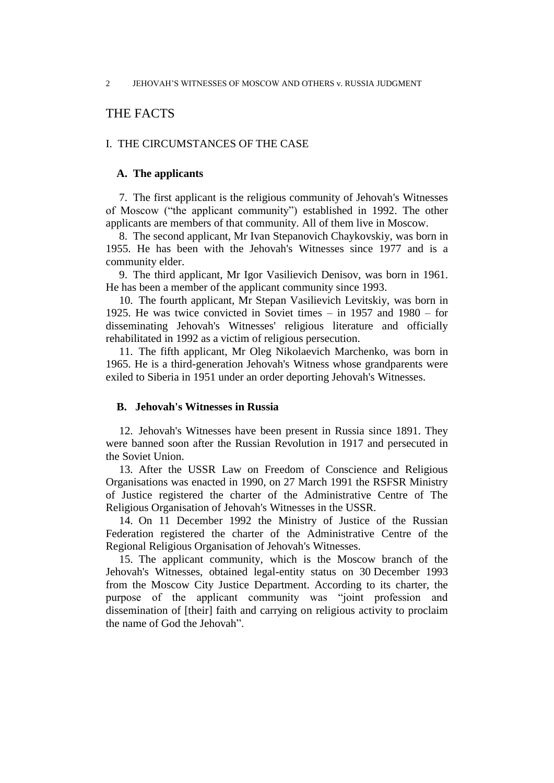## THE FACTS

## I. THE CIRCUMSTANCES OF THE CASE

## **A. The applicants**

7. The first applicant is the religious community of Jehovah's Witnesses of Moscow ("the applicant community") established in 1992. The other applicants are members of that community. All of them live in Moscow.

8. The second applicant, Mr Ivan Stepanovich Chaykovskiy, was born in 1955. He has been with the Jehovah's Witnesses since 1977 and is a community elder.

9. The third applicant, Mr Igor Vasilievich Denisov, was born in 1961. He has been a member of the applicant community since 1993.

10. The fourth applicant, Mr Stepan Vasilievich Levitskiy, was born in 1925. He was twice convicted in Soviet times – in 1957 and 1980 – for disseminating Jehovah's Witnesses' religious literature and officially rehabilitated in 1992 as a victim of religious persecution.

11. The fifth applicant, Mr Oleg Nikolaevich Marchenko, was born in 1965. He is a third-generation Jehovah's Witness whose grandparents were exiled to Siberia in 1951 under an order deporting Jehovah's Witnesses.

### **B. Jehovah's Witnesses in Russia**

12. Jehovah's Witnesses have been present in Russia since 1891. They were banned soon after the Russian Revolution in 1917 and persecuted in the Soviet Union.

13. After the USSR Law on Freedom of Conscience and Religious Organisations was enacted in 1990, on 27 March 1991 the RSFSR Ministry of Justice registered the charter of the Administrative Centre of The Religious Organisation of Jehovah's Witnesses in the USSR.

14. On 11 December 1992 the Ministry of Justice of the Russian Federation registered the charter of the Administrative Centre of the Regional Religious Organisation of Jehovah's Witnesses.

15. The applicant community, which is the Moscow branch of the Jehovah's Witnesses, obtained legal-entity status on 30 December 1993 from the Moscow City Justice Department. According to its charter, the purpose of the applicant community was "joint profession and dissemination of [their] faith and carrying on religious activity to proclaim the name of God the Jehovah".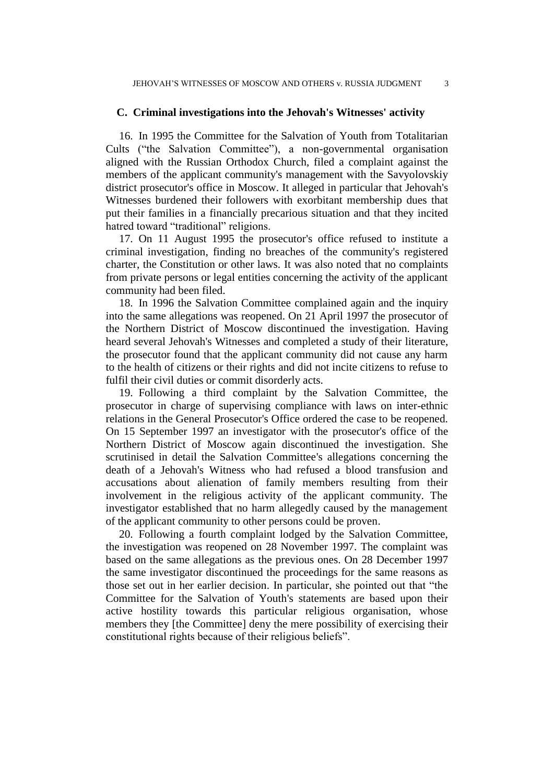## **C. Criminal investigations into the Jehovah's Witnesses' activity**

16. In 1995 the Committee for the Salvation of Youth from Totalitarian Cults ("the Salvation Committee"), a non-governmental organisation aligned with the Russian Orthodox Church, filed a complaint against the members of the applicant community's management with the Savyolovskiy district prosecutor's office in Moscow. It alleged in particular that Jehovah's Witnesses burdened their followers with exorbitant membership dues that put their families in a financially precarious situation and that they incited hatred toward "traditional" religions.

17. On 11 August 1995 the prosecutor's office refused to institute a criminal investigation, finding no breaches of the community's registered charter, the Constitution or other laws. It was also noted that no complaints from private persons or legal entities concerning the activity of the applicant community had been filed.

18. In 1996 the Salvation Committee complained again and the inquiry into the same allegations was reopened. On 21 April 1997 the prosecutor of the Northern District of Moscow discontinued the investigation. Having heard several Jehovah's Witnesses and completed a study of their literature, the prosecutor found that the applicant community did not cause any harm to the health of citizens or their rights and did not incite citizens to refuse to fulfil their civil duties or commit disorderly acts.

19. Following a third complaint by the Salvation Committee, the prosecutor in charge of supervising compliance with laws on inter-ethnic relations in the General Prosecutor's Office ordered the case to be reopened. On 15 September 1997 an investigator with the prosecutor's office of the Northern District of Moscow again discontinued the investigation. She scrutinised in detail the Salvation Committee's allegations concerning the death of a Jehovah's Witness who had refused a blood transfusion and accusations about alienation of family members resulting from their involvement in the religious activity of the applicant community. The investigator established that no harm allegedly caused by the management of the applicant community to other persons could be proven.

20. Following a fourth complaint lodged by the Salvation Committee, the investigation was reopened on 28 November 1997. The complaint was based on the same allegations as the previous ones. On 28 December 1997 the same investigator discontinued the proceedings for the same reasons as those set out in her earlier decision. In particular, she pointed out that "the Committee for the Salvation of Youth's statements are based upon their active hostility towards this particular religious organisation, whose members they [the Committee] deny the mere possibility of exercising their constitutional rights because of their religious beliefs".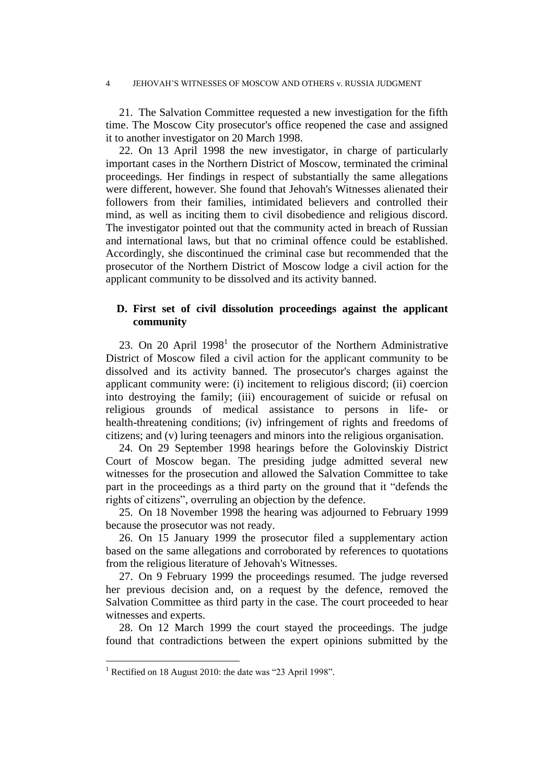#### 4 JEHOVAH'S WITNESSES OF MOSCOW AND OTHERS v. RUSSIA JUDGMENT

21. The Salvation Committee requested a new investigation for the fifth time. The Moscow City prosecutor's office reopened the case and assigned it to another investigator on 20 March 1998.

22. On 13 April 1998 the new investigator, in charge of particularly important cases in the Northern District of Moscow, terminated the criminal proceedings. Her findings in respect of substantially the same allegations were different, however. She found that Jehovah's Witnesses alienated their followers from their families, intimidated believers and controlled their mind, as well as inciting them to civil disobedience and religious discord. The investigator pointed out that the community acted in breach of Russian and international laws, but that no criminal offence could be established. Accordingly, she discontinued the criminal case but recommended that the prosecutor of the Northern District of Moscow lodge a civil action for the applicant community to be dissolved and its activity banned.

## **D. First set of civil dissolution proceedings against the applicant community**

23. On 20 April  $1998<sup>1</sup>$  the prosecutor of the Northern Administrative District of Moscow filed a civil action for the applicant community to be dissolved and its activity banned. The prosecutor's charges against the applicant community were: (i) incitement to religious discord; (ii) coercion into destroying the family; (iii) encouragement of suicide or refusal on religious grounds of medical assistance to persons in life- or health-threatening conditions; (iv) infringement of rights and freedoms of citizens; and (v) luring teenagers and minors into the religious organisation.

24. On 29 September 1998 hearings before the Golovinskiy District Court of Moscow began. The presiding judge admitted several new witnesses for the prosecution and allowed the Salvation Committee to take part in the proceedings as a third party on the ground that it "defends the rights of citizens", overruling an objection by the defence.

25. On 18 November 1998 the hearing was adjourned to February 1999 because the prosecutor was not ready.

26. On 15 January 1999 the prosecutor filed a supplementary action based on the same allegations and corroborated by references to quotations from the religious literature of Jehovah's Witnesses.

27. On 9 February 1999 the proceedings resumed. The judge reversed her previous decision and, on a request by the defence, removed the Salvation Committee as third party in the case. The court proceeded to hear witnesses and experts.

28. On 12 March 1999 the court stayed the proceedings. The judge found that contradictions between the expert opinions submitted by the

<sup>&</sup>lt;sup>1</sup> Rectified on 18 August 2010: the date was "23 April 1998".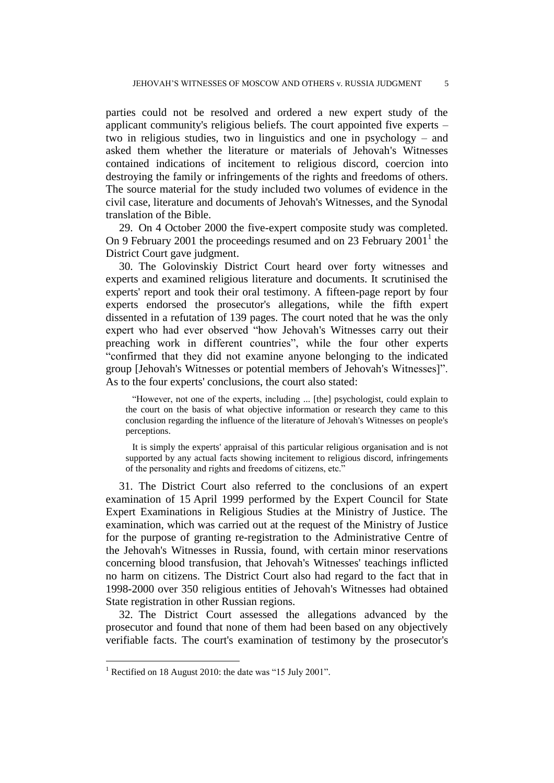parties could not be resolved and ordered a new expert study of the applicant community's religious beliefs. The court appointed five experts – two in religious studies, two in linguistics and one in psychology – and asked them whether the literature or materials of Jehovah's Witnesses contained indications of incitement to religious discord, coercion into destroying the family or infringements of the rights and freedoms of others. The source material for the study included two volumes of evidence in the civil case, literature and documents of Jehovah's Witnesses, and the Synodal translation of the Bible.

29. On 4 October 2000 the five-expert composite study was completed. On 9 February 2001 the proceedings resumed and on 23 February  $2001^1$  the District Court gave judgment.

30. The Golovinskiy District Court heard over forty witnesses and experts and examined religious literature and documents. It scrutinised the experts' report and took their oral testimony. A fifteen-page report by four experts endorsed the prosecutor's allegations, while the fifth expert dissented in a refutation of 139 pages. The court noted that he was the only expert who had ever observed "how Jehovah's Witnesses carry out their preaching work in different countries", while the four other experts "confirmed that they did not examine anyone belonging to the indicated group [Jehovah's Witnesses or potential members of Jehovah's Witnesses]". As to the four experts' conclusions, the court also stated:

"However, not one of the experts, including ... [the] psychologist, could explain to the court on the basis of what objective information or research they came to this conclusion regarding the influence of the literature of Jehovah's Witnesses on people's perceptions.

It is simply the experts' appraisal of this particular religious organisation and is not supported by any actual facts showing incitement to religious discord, infringements of the personality and rights and freedoms of citizens, etc."

31. The District Court also referred to the conclusions of an expert examination of 15 April 1999 performed by the Expert Council for State Expert Examinations in Religious Studies at the Ministry of Justice. The examination, which was carried out at the request of the Ministry of Justice for the purpose of granting re-registration to the Administrative Centre of the Jehovah's Witnesses in Russia, found, with certain minor reservations concerning blood transfusion, that Jehovah's Witnesses' teachings inflicted no harm on citizens. The District Court also had regard to the fact that in 1998-2000 over 350 religious entities of Jehovah's Witnesses had obtained State registration in other Russian regions.

32. The District Court assessed the allegations advanced by the prosecutor and found that none of them had been based on any objectively verifiable facts. The court's examination of testimony by the prosecutor's

 $1$  Rectified on 18 August 2010: the date was "15 July 2001".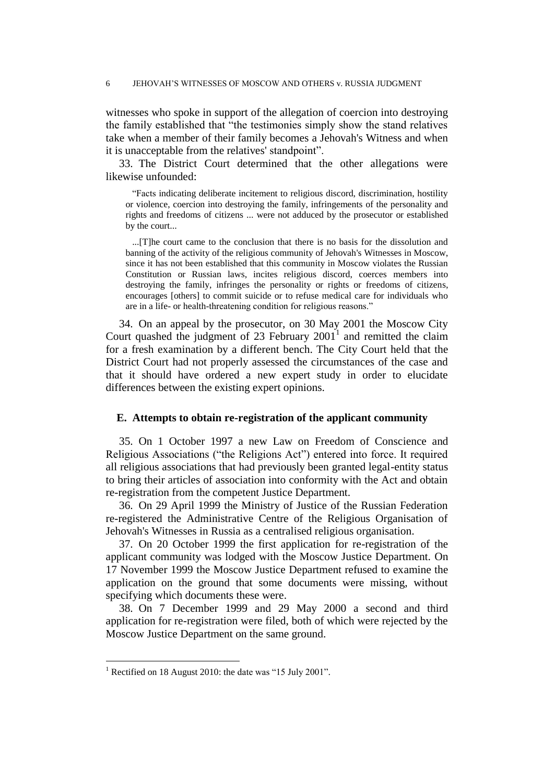witnesses who spoke in support of the allegation of coercion into destroying the family established that "the testimonies simply show the stand relatives take when a member of their family becomes a Jehovah's Witness and when it is unacceptable from the relatives' standpoint".

33. The District Court determined that the other allegations were likewise unfounded:

"Facts indicating deliberate incitement to religious discord, discrimination, hostility or violence, coercion into destroying the family, infringements of the personality and rights and freedoms of citizens ... were not adduced by the prosecutor or established by the court...

...[T]he court came to the conclusion that there is no basis for the dissolution and banning of the activity of the religious community of Jehovah's Witnesses in Moscow, since it has not been established that this community in Moscow violates the Russian Constitution or Russian laws, incites religious discord, coerces members into destroying the family, infringes the personality or rights or freedoms of citizens, encourages [others] to commit suicide or to refuse medical care for individuals who are in a life- or health-threatening condition for religious reasons."

34. On an appeal by the prosecutor, on 30 May 2001 the Moscow City Court quashed the judgment of 23 February  $2001<sup>1</sup>$  and remitted the claim for a fresh examination by a different bench. The City Court held that the District Court had not properly assessed the circumstances of the case and that it should have ordered a new expert study in order to elucidate differences between the existing expert opinions.

#### **E. Attempts to obtain re-registration of the applicant community**

35. On 1 October 1997 a new Law on Freedom of Conscience and Religious Associations ("the Religions Act") entered into force. It required all religious associations that had previously been granted legal-entity status to bring their articles of association into conformity with the Act and obtain re-registration from the competent Justice Department.

36. On 29 April 1999 the Ministry of Justice of the Russian Federation re-registered the Administrative Centre of the Religious Organisation of Jehovah's Witnesses in Russia as a centralised religious organisation.

37. On 20 October 1999 the first application for re-registration of the applicant community was lodged with the Moscow Justice Department. On 17 November 1999 the Moscow Justice Department refused to examine the application on the ground that some documents were missing, without specifying which documents these were.

38. On 7 December 1999 and 29 May 2000 a second and third application for re-registration were filed, both of which were rejected by the Moscow Justice Department on the same ground.

<sup>&</sup>lt;sup>1</sup> Rectified on 18 August 2010: the date was "15 July 2001".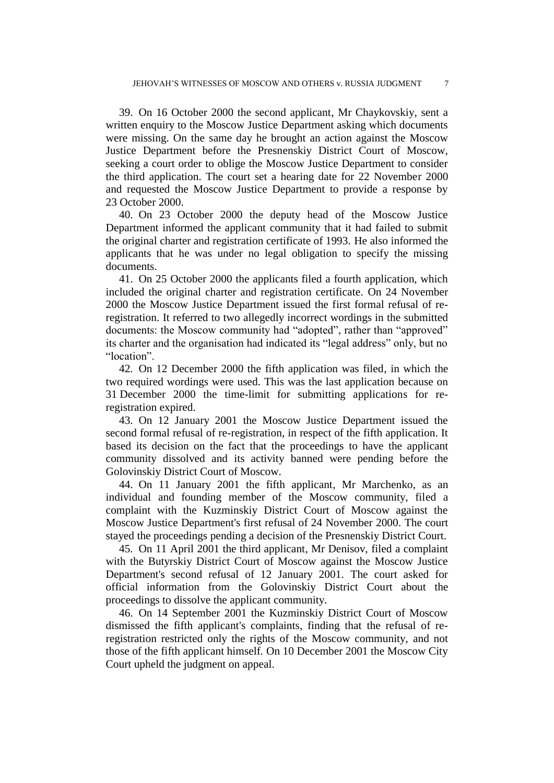39. On 16 October 2000 the second applicant, Mr Chaykovskiy, sent a written enquiry to the Moscow Justice Department asking which documents were missing. On the same day he brought an action against the Moscow Justice Department before the Presnenskiy District Court of Moscow, seeking a court order to oblige the Moscow Justice Department to consider the third application. The court set a hearing date for 22 November 2000 and requested the Moscow Justice Department to provide a response by 23 October 2000.

40. On 23 October 2000 the deputy head of the Moscow Justice Department informed the applicant community that it had failed to submit the original charter and registration certificate of 1993. He also informed the applicants that he was under no legal obligation to specify the missing documents.

41. On 25 October 2000 the applicants filed a fourth application, which included the original charter and registration certificate. On 24 November 2000 the Moscow Justice Department issued the first formal refusal of reregistration. It referred to two allegedly incorrect wordings in the submitted documents: the Moscow community had "adopted", rather than "approved" its charter and the organisation had indicated its "legal address" only, but no "location".

42. On 12 December 2000 the fifth application was filed, in which the two required wordings were used. This was the last application because on 31 December 2000 the time-limit for submitting applications for reregistration expired.

43. On 12 January 2001 the Moscow Justice Department issued the second formal refusal of re-registration, in respect of the fifth application. It based its decision on the fact that the proceedings to have the applicant community dissolved and its activity banned were pending before the Golovinskiy District Court of Moscow.

44. On 11 January 2001 the fifth applicant, Mr Marchenko, as an individual and founding member of the Moscow community, filed a complaint with the Kuzminskiy District Court of Moscow against the Moscow Justice Department's first refusal of 24 November 2000. The court stayed the proceedings pending a decision of the Presnenskiy District Court.

45. On 11 April 2001 the third applicant, Mr Denisov, filed a complaint with the Butyrskiy District Court of Moscow against the Moscow Justice Department's second refusal of 12 January 2001. The court asked for official information from the Golovinskiy District Court about the proceedings to dissolve the applicant community.

46. On 14 September 2001 the Kuzminskiy District Court of Moscow dismissed the fifth applicant's complaints, finding that the refusal of reregistration restricted only the rights of the Moscow community, and not those of the fifth applicant himself. On 10 December 2001 the Moscow City Court upheld the judgment on appeal.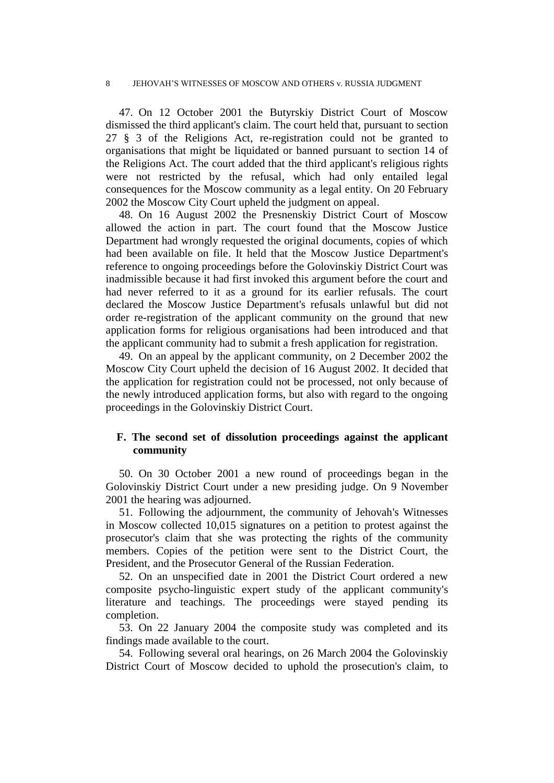47. On 12 October 2001 the Butyrskiy District Court of Moscow dismissed the third applicant's claim. The court held that, pursuant to section 27 § 3 of the Religions Act, re-registration could not be granted to organisations that might be liquidated or banned pursuant to section 14 of the Religions Act. The court added that the third applicant's religious rights were not restricted by the refusal, which had only entailed legal consequences for the Moscow community as a legal entity. On 20 February 2002 the Moscow City Court upheld the judgment on appeal.

48. On 16 August 2002 the Presnenskiy District Court of Moscow allowed the action in part. The court found that the Moscow Justice Department had wrongly requested the original documents, copies of which had been available on file. It held that the Moscow Justice Department's reference to ongoing proceedings before the Golovinskiy District Court was inadmissible because it had first invoked this argument before the court and had never referred to it as a ground for its earlier refusals. The court declared the Moscow Justice Department's refusals unlawful but did not order re-registration of the applicant community on the ground that new application forms for religious organisations had been introduced and that the applicant community had to submit a fresh application for registration.

49. On an appeal by the applicant community, on 2 December 2002 the Moscow City Court upheld the decision of 16 August 2002. It decided that the application for registration could not be processed, not only because of the newly introduced application forms, but also with regard to the ongoing proceedings in the Golovinskiy District Court.

## **F. The second set of dissolution proceedings against the applicant community**

50. On 30 October 2001 a new round of proceedings began in the Golovinskiy District Court under a new presiding judge. On 9 November 2001 the hearing was adjourned.

51. Following the adjournment, the community of Jehovah's Witnesses in Moscow collected 10,015 signatures on a petition to protest against the prosecutor's claim that she was protecting the rights of the community members. Copies of the petition were sent to the District Court, the President, and the Prosecutor General of the Russian Federation.

52. On an unspecified date in 2001 the District Court ordered a new composite psycho-linguistic expert study of the applicant community's literature and teachings. The proceedings were stayed pending its completion.

53. On 22 January 2004 the composite study was completed and its findings made available to the court.

54. Following several oral hearings, on 26 March 2004 the Golovinskiy District Court of Moscow decided to uphold the prosecution's claim, to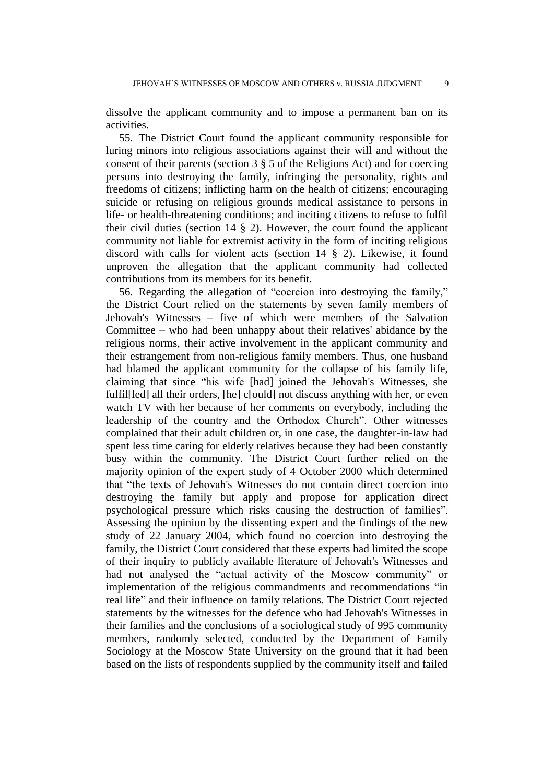dissolve the applicant community and to impose a permanent ban on its activities.

55. The District Court found the applicant community responsible for luring minors into religious associations against their will and without the consent of their parents (section 3 § 5 of the Religions Act) and for coercing persons into destroying the family, infringing the personality, rights and freedoms of citizens; inflicting harm on the health of citizens; encouraging suicide or refusing on religious grounds medical assistance to persons in life- or health-threatening conditions; and inciting citizens to refuse to fulfil their civil duties (section  $14 \tS 2$ ). However, the court found the applicant community not liable for extremist activity in the form of inciting religious discord with calls for violent acts (section 14 § 2). Likewise, it found unproven the allegation that the applicant community had collected contributions from its members for its benefit.

56. Regarding the allegation of "coercion into destroying the family," the District Court relied on the statements by seven family members of Jehovah's Witnesses – five of which were members of the Salvation Committee – who had been unhappy about their relatives' abidance by the religious norms, their active involvement in the applicant community and their estrangement from non-religious family members. Thus, one husband had blamed the applicant community for the collapse of his family life, claiming that since "his wife [had] joined the Jehovah's Witnesses, she fulfil[led] all their orders, [he] c[ould] not discuss anything with her, or even watch TV with her because of her comments on everybody, including the leadership of the country and the Orthodox Church". Other witnesses complained that their adult children or, in one case, the daughter-in-law had spent less time caring for elderly relatives because they had been constantly busy within the community. The District Court further relied on the majority opinion of the expert study of 4 October 2000 which determined that "the texts of Jehovah's Witnesses do not contain direct coercion into destroying the family but apply and propose for application direct psychological pressure which risks causing the destruction of families". Assessing the opinion by the dissenting expert and the findings of the new study of 22 January 2004, which found no coercion into destroying the family, the District Court considered that these experts had limited the scope of their inquiry to publicly available literature of Jehovah's Witnesses and had not analysed the "actual activity of the Moscow community" or implementation of the religious commandments and recommendations "in real life" and their influence on family relations. The District Court rejected statements by the witnesses for the defence who had Jehovah's Witnesses in their families and the conclusions of a sociological study of 995 community members, randomly selected, conducted by the Department of Family Sociology at the Moscow State University on the ground that it had been based on the lists of respondents supplied by the community itself and failed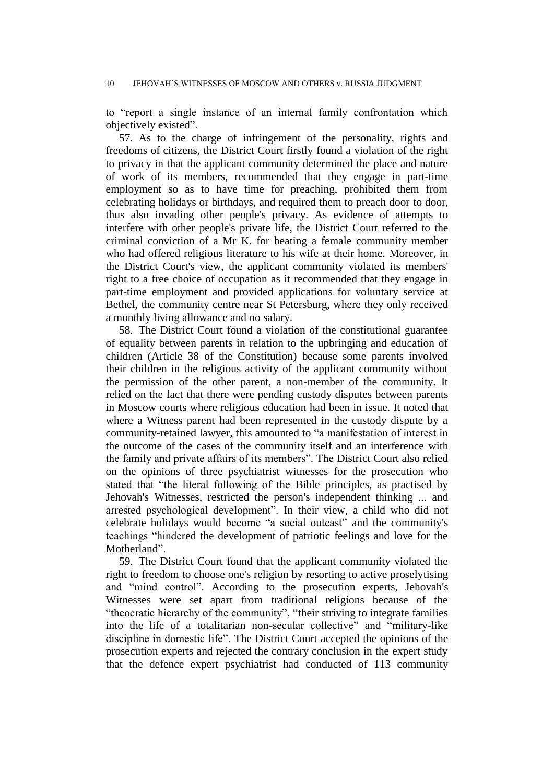to "report a single instance of an internal family confrontation which objectively existed".

57. As to the charge of infringement of the personality, rights and freedoms of citizens, the District Court firstly found a violation of the right to privacy in that the applicant community determined the place and nature of work of its members, recommended that they engage in part-time employment so as to have time for preaching, prohibited them from celebrating holidays or birthdays, and required them to preach door to door, thus also invading other people's privacy. As evidence of attempts to interfere with other people's private life, the District Court referred to the criminal conviction of a Mr K. for beating a female community member who had offered religious literature to his wife at their home. Moreover, in the District Court's view, the applicant community violated its members' right to a free choice of occupation as it recommended that they engage in part-time employment and provided applications for voluntary service at Bethel, the community centre near St Petersburg, where they only received a monthly living allowance and no salary.

58. The District Court found a violation of the constitutional guarantee of equality between parents in relation to the upbringing and education of children (Article 38 of the Constitution) because some parents involved their children in the religious activity of the applicant community without the permission of the other parent, a non-member of the community. It relied on the fact that there were pending custody disputes between parents in Moscow courts where religious education had been in issue. It noted that where a Witness parent had been represented in the custody dispute by a community-retained lawyer, this amounted to "a manifestation of interest in the outcome of the cases of the community itself and an interference with the family and private affairs of its members". The District Court also relied on the opinions of three psychiatrist witnesses for the prosecution who stated that "the literal following of the Bible principles, as practised by Jehovah's Witnesses, restricted the person's independent thinking ... and arrested psychological development". In their view, a child who did not celebrate holidays would become "a social outcast" and the community's teachings "hindered the development of patriotic feelings and love for the Motherland".

59. The District Court found that the applicant community violated the right to freedom to choose one's religion by resorting to active proselytising and "mind control". According to the prosecution experts, Jehovah's Witnesses were set apart from traditional religions because of the "theocratic hierarchy of the community", "their striving to integrate families into the life of a totalitarian non-secular collective" and "military-like discipline in domestic life". The District Court accepted the opinions of the prosecution experts and rejected the contrary conclusion in the expert study that the defence expert psychiatrist had conducted of 113 community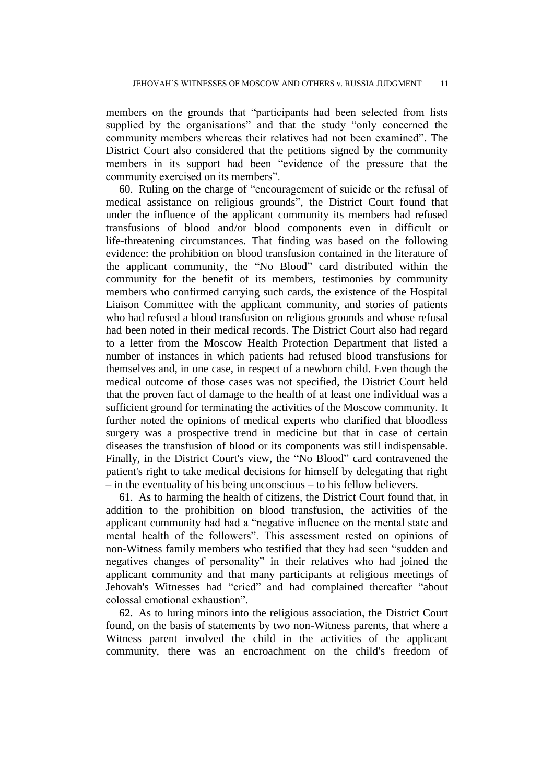members on the grounds that "participants had been selected from lists supplied by the organisations" and that the study "only concerned the community members whereas their relatives had not been examined". The District Court also considered that the petitions signed by the community members in its support had been "evidence of the pressure that the community exercised on its members".

60. Ruling on the charge of "encouragement of suicide or the refusal of medical assistance on religious grounds", the District Court found that under the influence of the applicant community its members had refused transfusions of blood and/or blood components even in difficult or life-threatening circumstances. That finding was based on the following evidence: the prohibition on blood transfusion contained in the literature of the applicant community, the "No Blood" card distributed within the community for the benefit of its members, testimonies by community members who confirmed carrying such cards, the existence of the Hospital Liaison Committee with the applicant community, and stories of patients who had refused a blood transfusion on religious grounds and whose refusal had been noted in their medical records. The District Court also had regard to a letter from the Moscow Health Protection Department that listed a number of instances in which patients had refused blood transfusions for themselves and, in one case, in respect of a newborn child. Even though the medical outcome of those cases was not specified, the District Court held that the proven fact of damage to the health of at least one individual was a sufficient ground for terminating the activities of the Moscow community. It further noted the opinions of medical experts who clarified that bloodless surgery was a prospective trend in medicine but that in case of certain diseases the transfusion of blood or its components was still indispensable. Finally, in the District Court's view, the "No Blood" card contravened the patient's right to take medical decisions for himself by delegating that right – in the eventuality of his being unconscious – to his fellow believers.

61. As to harming the health of citizens, the District Court found that, in addition to the prohibition on blood transfusion, the activities of the applicant community had had a "negative influence on the mental state and mental health of the followers". This assessment rested on opinions of non-Witness family members who testified that they had seen "sudden and negatives changes of personality" in their relatives who had joined the applicant community and that many participants at religious meetings of Jehovah's Witnesses had "cried" and had complained thereafter "about colossal emotional exhaustion".

62. As to luring minors into the religious association, the District Court found, on the basis of statements by two non-Witness parents, that where a Witness parent involved the child in the activities of the applicant community, there was an encroachment on the child's freedom of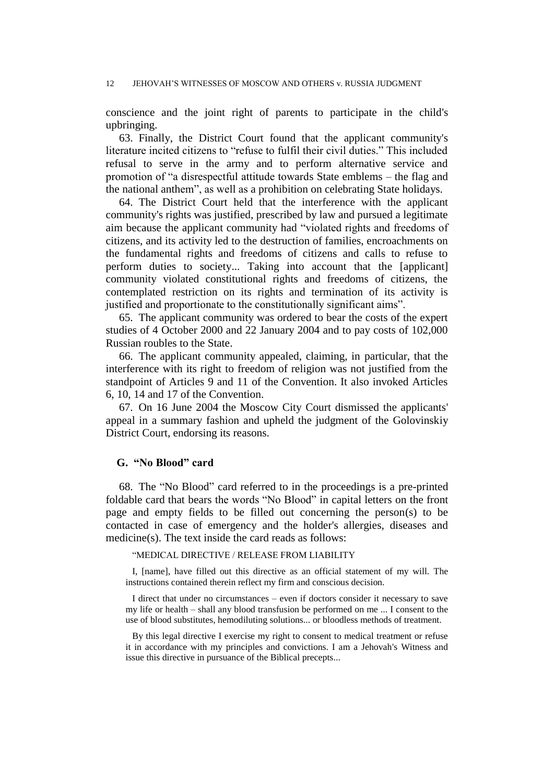#### 12 JEHOVAH'S WITNESSES OF MOSCOW AND OTHERS v. RUSSIA JUDGMENT

conscience and the joint right of parents to participate in the child's upbringing.

63. Finally, the District Court found that the applicant community's literature incited citizens to "refuse to fulfil their civil duties." This included refusal to serve in the army and to perform alternative service and promotion of "a disrespectful attitude towards State emblems – the flag and the national anthem", as well as a prohibition on celebrating State holidays.

64. The District Court held that the interference with the applicant community's rights was justified, prescribed by law and pursued a legitimate aim because the applicant community had "violated rights and freedoms of citizens, and its activity led to the destruction of families, encroachments on the fundamental rights and freedoms of citizens and calls to refuse to perform duties to society... Taking into account that the [applicant] community violated constitutional rights and freedoms of citizens, the contemplated restriction on its rights and termination of its activity is justified and proportionate to the constitutionally significant aims".

65. The applicant community was ordered to bear the costs of the expert studies of 4 October 2000 and 22 January 2004 and to pay costs of 102,000 Russian roubles to the State.

66. The applicant community appealed, claiming, in particular, that the interference with its right to freedom of religion was not justified from the standpoint of Articles 9 and 11 of the Convention. It also invoked Articles 6, 10, 14 and 17 of the Convention.

67. On 16 June 2004 the Moscow City Court dismissed the applicants' appeal in a summary fashion and upheld the judgment of the Golovinskiy District Court, endorsing its reasons.

## **G. "No Blood" card**

68. The "No Blood" card referred to in the proceedings is a pre-printed foldable card that bears the words "No Blood" in capital letters on the front page and empty fields to be filled out concerning the person(s) to be contacted in case of emergency and the holder's allergies, diseases and medicine(s). The text inside the card reads as follows:

#### "MEDICAL DIRECTIVE / RELEASE FROM LIABILITY

I, [name], have filled out this directive as an official statement of my will. The instructions contained therein reflect my firm and conscious decision.

I direct that under no circumstances – even if doctors consider it necessary to save my life or health – shall any blood transfusion be performed on me ... I consent to the use of blood substitutes, hemodiluting solutions... or bloodless methods of treatment.

By this legal directive I exercise my right to consent to medical treatment or refuse it in accordance with my principles and convictions. I am a Jehovah's Witness and issue this directive in pursuance of the Biblical precepts...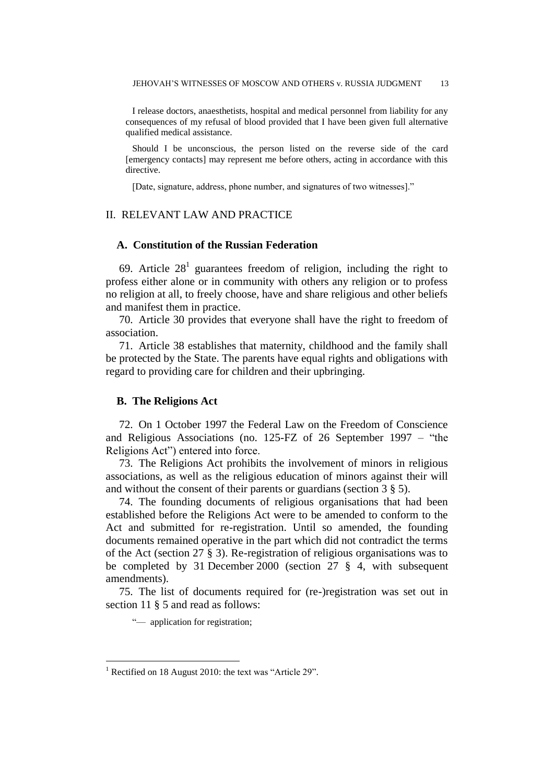I release doctors, anaesthetists, hospital and medical personnel from liability for any consequences of my refusal of blood provided that I have been given full alternative qualified medical assistance.

Should I be unconscious, the person listed on the reverse side of the card [emergency contacts] may represent me before others, acting in accordance with this directive.

[Date, signature, address, phone number, and signatures of two witnesses]."

## II. RELEVANT LAW AND PRACTICE

### **A. Constitution of the Russian Federation**

69. Article  $28<sup>1</sup>$  guarantees freedom of religion, including the right to profess either alone or in community with others any religion or to profess no religion at all, to freely choose, have and share religious and other beliefs and manifest them in practice.

70. Article 30 provides that everyone shall have the right to freedom of association.

71. Article 38 establishes that maternity, childhood and the family shall be protected by the State. The parents have equal rights and obligations with regard to providing care for children and their upbringing.

## **B. The Religions Act**

72. On 1 October 1997 the Federal Law on the Freedom of Conscience and Religious Associations (no. 125-FZ of 26 September 1997 – "the Religions Act") entered into force.

73. The Religions Act prohibits the involvement of minors in religious associations, as well as the religious education of minors against their will and without the consent of their parents or guardians (section 3 § 5).

74. The founding documents of religious organisations that had been established before the Religions Act were to be amended to conform to the Act and submitted for re-registration. Until so amended, the founding documents remained operative in the part which did not contradict the terms of the Act (section 27 § 3). Re-registration of religious organisations was to be completed by 31 December 2000 (section 27 § 4, with subsequent amendments).

75. The list of documents required for (re-)registration was set out in section 11  $\S$  5 and read as follows:

"- application for registration;

 $1$  Rectified on 18 August 2010: the text was "Article 29".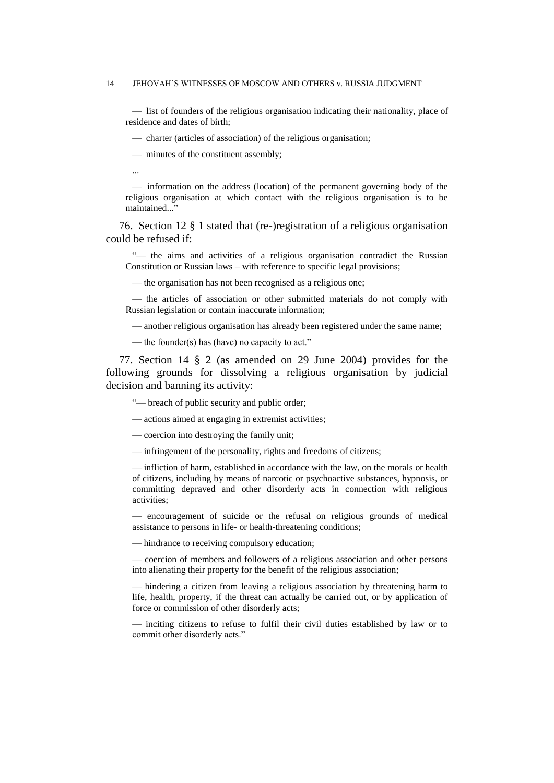#### 14 JEHOVAH'S WITNESSES OF MOSCOW AND OTHERS v. RUSSIA JUDGMENT

— list of founders of the religious organisation indicating their nationality, place of residence and dates of birth;

— charter (articles of association) of the religious organisation;

— minutes of the constituent assembly;

...

— information on the address (location) of the permanent governing body of the religious organisation at which contact with the religious organisation is to be maintained..."

76. Section 12 § 1 stated that (re-)registration of a religious organisation could be refused if:

"— the aims and activities of a religious organisation contradict the Russian Constitution or Russian laws – with reference to specific legal provisions;

— the organisation has not been recognised as a religious one;

— the articles of association or other submitted materials do not comply with Russian legislation or contain inaccurate information;

— another religious organisation has already been registered under the same name;

— the founder(s) has (have) no capacity to act."

77. Section 14 § 2 (as amended on 29 June 2004) provides for the following grounds for dissolving a religious organisation by judicial decision and banning its activity:

"— breach of public security and public order;

— actions aimed at engaging in extremist activities;

— coercion into destroying the family unit;

— infringement of the personality, rights and freedoms of citizens;

— infliction of harm, established in accordance with the law, on the morals or health of citizens, including by means of narcotic or psychoactive substances, hypnosis, or committing depraved and other disorderly acts in connection with religious activities;

— encouragement of suicide or the refusal on religious grounds of medical assistance to persons in life- or health-threatening conditions;

— hindrance to receiving compulsory education;

— coercion of members and followers of a religious association and other persons into alienating their property for the benefit of the religious association;

— hindering a citizen from leaving a religious association by threatening harm to life, health, property, if the threat can actually be carried out, or by application of force or commission of other disorderly acts;

— inciting citizens to refuse to fulfil their civil duties established by law or to commit other disorderly acts."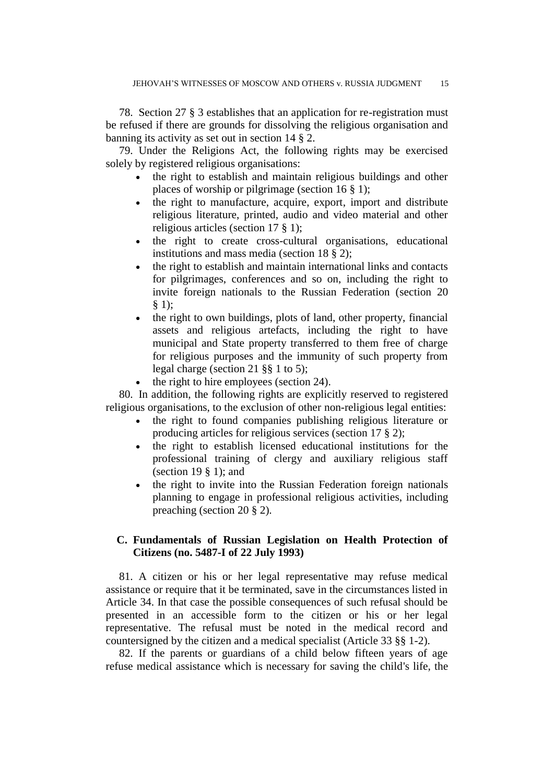78. Section 27 § 3 establishes that an application for re-registration must be refused if there are grounds for dissolving the religious organisation and banning its activity as set out in section 14 § 2.

79. Under the Religions Act, the following rights may be exercised solely by registered religious organisations:

- the right to establish and maintain religious buildings and other places of worship or pilgrimage (section 16 § 1);
- the right to manufacture, acquire, export, import and distribute religious literature, printed, audio and video material and other religious articles (section 17 § 1);
- the right to create cross-cultural organisations, educational institutions and mass media (section 18 § 2);
- the right to establish and maintain international links and contacts for pilgrimages, conferences and so on, including the right to invite foreign nationals to the Russian Federation (section 20 § 1);
- the right to own buildings, plots of land, other property, financial assets and religious artefacts, including the right to have municipal and State property transferred to them free of charge for religious purposes and the immunity of such property from legal charge (section 21 §§ 1 to 5);
- $\bullet$  the right to hire employees (section 24).

80. In addition, the following rights are explicitly reserved to registered religious organisations, to the exclusion of other non-religious legal entities:

- the right to found companies publishing religious literature or producing articles for religious services (section 17 § 2);
- the right to establish licensed educational institutions for the professional training of clergy and auxiliary religious staff (section 19  $\S$  1); and
- the right to invite into the Russian Federation foreign nationals planning to engage in professional religious activities, including preaching (section 20 § 2).

## **C. Fundamentals of Russian Legislation on Health Protection of Citizens (no. 5487-I of 22 July 1993)**

81. A citizen or his or her legal representative may refuse medical assistance or require that it be terminated, save in the circumstances listed in Article 34. In that case the possible consequences of such refusal should be presented in an accessible form to the citizen or his or her legal representative. The refusal must be noted in the medical record and countersigned by the citizen and a medical specialist (Article 33 §§ 1-2).

82. If the parents or guardians of a child below fifteen years of age refuse medical assistance which is necessary for saving the child's life, the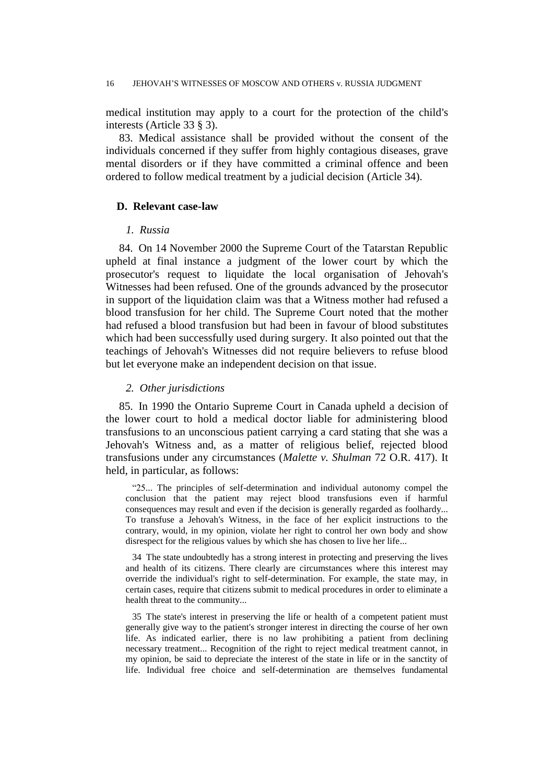medical institution may apply to a court for the protection of the child's interests (Article 33 § 3).

83. Medical assistance shall be provided without the consent of the individuals concerned if they suffer from highly contagious diseases, grave mental disorders or if they have committed a criminal offence and been ordered to follow medical treatment by a judicial decision (Article 34).

### **D. Relevant case-law**

## *1. Russia*

84. On 14 November 2000 the Supreme Court of the Tatarstan Republic upheld at final instance a judgment of the lower court by which the prosecutor's request to liquidate the local organisation of Jehovah's Witnesses had been refused. One of the grounds advanced by the prosecutor in support of the liquidation claim was that a Witness mother had refused a blood transfusion for her child. The Supreme Court noted that the mother had refused a blood transfusion but had been in favour of blood substitutes which had been successfully used during surgery. It also pointed out that the teachings of Jehovah's Witnesses did not require believers to refuse blood but let everyone make an independent decision on that issue.

#### *2. Other jurisdictions*

85. In 1990 the Ontario Supreme Court in Canada upheld a decision of the lower court to hold a medical doctor liable for administering blood transfusions to an unconscious patient carrying a card stating that she was a Jehovah's Witness and, as a matter of religious belief, rejected blood transfusions under any circumstances (*Malette v. Shulman* 72 O.R. 417). It held, in particular, as follows:

"25... The principles of self-determination and individual autonomy compel the conclusion that the patient may reject blood transfusions even if harmful consequences may result and even if the decision is generally regarded as foolhardy... To transfuse a Jehovah's Witness, in the face of her explicit instructions to the contrary, would, in my opinion, violate her right to control her own body and show disrespect for the religious values by which she has chosen to live her life...

34 The state undoubtedly has a strong interest in protecting and preserving the lives and health of its citizens. There clearly are circumstances where this interest may override the individual's right to self-determination. For example, the state may, in certain cases, require that citizens submit to medical procedures in order to eliminate a health threat to the community...

35 The state's interest in preserving the life or health of a competent patient must generally give way to the patient's stronger interest in directing the course of her own life. As indicated earlier, there is no law prohibiting a patient from declining necessary treatment... Recognition of the right to reject medical treatment cannot, in my opinion, be said to depreciate the interest of the state in life or in the sanctity of life. Individual free choice and self-determination are themselves fundamental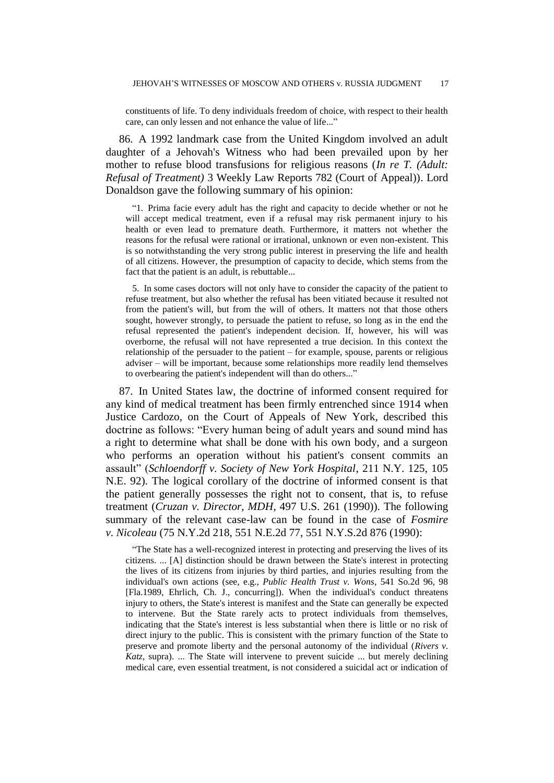constituents of life. To deny individuals freedom of choice, with respect to their health care, can only lessen and not enhance the value of life..."

86. A 1992 landmark case from the United Kingdom involved an adult daughter of a Jehovah's Witness who had been prevailed upon by her mother to refuse blood transfusions for religious reasons (*In re T. (Adult: Refusal of Treatment)* 3 Weekly Law Reports 782 (Court of Appeal)). Lord Donaldson gave the following summary of his opinion:

"1. Prima facie every adult has the right and capacity to decide whether or not he will accept medical treatment, even if a refusal may risk permanent injury to his health or even lead to premature death. Furthermore, it matters not whether the reasons for the refusal were rational or irrational, unknown or even non-existent. This is so notwithstanding the very strong public interest in preserving the life and health of all citizens. However, the presumption of capacity to decide, which stems from the fact that the patient is an adult, is rebuttable...

5. In some cases doctors will not only have to consider the capacity of the patient to refuse treatment, but also whether the refusal has been vitiated because it resulted not from the patient's will, but from the will of others. It matters not that those others sought, however strongly, to persuade the patient to refuse, so long as in the end the refusal represented the patient's independent decision. If, however, his will was overborne, the refusal will not have represented a true decision. In this context the relationship of the persuader to the patient – for example, spouse, parents or religious adviser – will be important, because some relationships more readily lend themselves to overbearing the patient's independent will than do others..."

87. In United States law, the doctrine of informed consent required for any kind of medical treatment has been firmly entrenched since 1914 when Justice Cardozo, on the Court of Appeals of New York, described this doctrine as follows: "Every human being of adult years and sound mind has a right to determine what shall be done with his own body, and a surgeon who performs an operation without his patient's consent commits an assault" (*Schloendorff v. Society of New York Hospital*, 211 N.Y. 125, 105 N.E. 92). The logical corollary of the doctrine of informed consent is that the patient generally possesses the right not to consent, that is, to refuse treatment (*Cruzan v. Director, MDH*, 497 U.S. 261 (1990)). The following summary of the relevant case-law can be found in the case of *Fosmire v. Nicoleau* (75 N.Y.2d 218, 551 N.E.2d 77, 551 N.Y.S.2d 876 (1990):

"The State has a well-recognized interest in protecting and preserving the lives of its citizens. ... [A] distinction should be drawn between the State's interest in protecting the lives of its citizens from injuries by third parties, and injuries resulting from the individual's own actions (see, e.g., *Public Health Trust v. Wons*, 541 So.2d 96, 98 [Fla.1989, Ehrlich, Ch. J., concurring]). When the individual's conduct threatens injury to others, the State's interest is manifest and the State can generally be expected to intervene. But the State rarely acts to protect individuals from themselves, indicating that the State's interest is less substantial when there is little or no risk of direct injury to the public. This is consistent with the primary function of the State to preserve and promote liberty and the personal autonomy of the individual (*Rivers v. Katz*, supra). ... The State will intervene to prevent suicide ... but merely declining medical care, even essential treatment, is not considered a suicidal act or indication of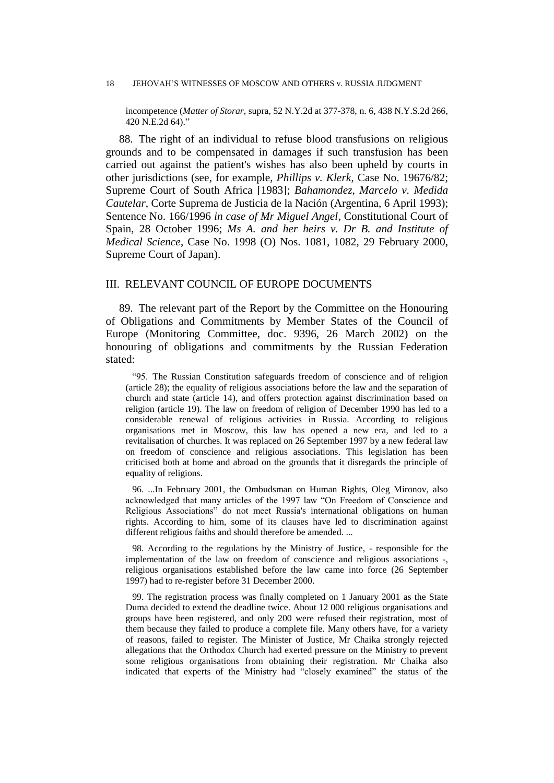#### 18 JEHOVAH'S WITNESSES OF MOSCOW AND OTHERS v. RUSSIA JUDGMENT

incompetence (*Matter of Storar*, supra, 52 N.Y.2d at 377-378, n. 6, 438 N.Y.S.2d 266, 420 N.E.2d 64)."

88. The right of an individual to refuse blood transfusions on religious grounds and to be compensated in damages if such transfusion has been carried out against the patient's wishes has also been upheld by courts in other jurisdictions (see, for example, *Phillips v. Klerk*, Case No. 19676/82; Supreme Court of South Africa [1983]; *Bahamondez, Marcelo v. Medida Cautelar*, Corte Suprema de Justicia de la Nación (Argentina, 6 April 1993); Sentence No. 166/1996 *in case of Mr Miguel Angel*, Constitutional Court of Spain, 28 October 1996; *Ms A. and her heirs v. Dr B. and Institute of Medical Science*, Case No. 1998 (O) Nos. 1081, 1082, 29 February 2000, Supreme Court of Japan).

## III. RELEVANT COUNCIL OF EUROPE DOCUMENTS

89. The relevant part of the Report by the Committee on the Honouring of Obligations and Commitments by Member States of the Council of Europe (Monitoring Committee, doc. 9396, 26 March 2002) on the honouring of obligations and commitments by the Russian Federation stated:

"95. The Russian Constitution safeguards freedom of conscience and of religion (article 28); the equality of religious associations before the law and the separation of church and state (article 14), and offers protection against discrimination based on religion (article 19). The law on freedom of religion of December 1990 has led to a considerable renewal of religious activities in Russia. According to religious organisations met in Moscow, this law has opened a new era, and led to a revitalisation of churches. It was replaced on 26 September 1997 by a new federal law on freedom of conscience and religious associations. This legislation has been criticised both at home and abroad on the grounds that it disregards the principle of equality of religions.

96. ...In February 2001, the Ombudsman on Human Rights, Oleg Mironov, also acknowledged that many articles of the 1997 law "On Freedom of Conscience and Religious Associations" do not meet Russia's international obligations on human rights. According to him, some of its clauses have led to discrimination against different religious faiths and should therefore be amended. ...

98. According to the regulations by the Ministry of Justice, - responsible for the implementation of the law on freedom of conscience and religious associations -, religious organisations established before the law came into force (26 September 1997) had to re-register before 31 December 2000.

99. The registration process was finally completed on 1 January 2001 as the State Duma decided to extend the deadline twice. About 12 000 religious organisations and groups have been registered, and only 200 were refused their registration, most of them because they failed to produce a complete file. Many others have, for a variety of reasons, failed to register. The Minister of Justice, Mr Chaika strongly rejected allegations that the Orthodox Church had exerted pressure on the Ministry to prevent some religious organisations from obtaining their registration. Mr Chaika also indicated that experts of the Ministry had "closely examined" the status of the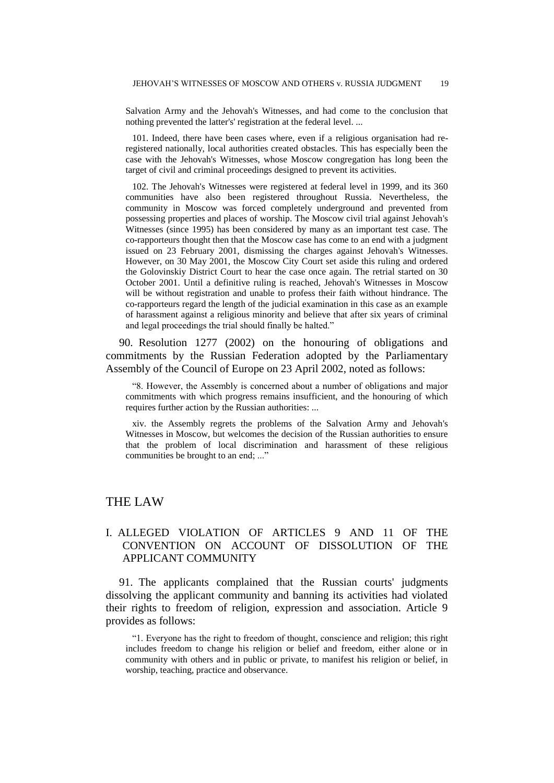Salvation Army and the Jehovah's Witnesses, and had come to the conclusion that nothing prevented the latter's' registration at the federal level. ...

101. Indeed, there have been cases where, even if a religious organisation had reregistered nationally, local authorities created obstacles. This has especially been the case with the Jehovah's Witnesses, whose Moscow congregation has long been the target of civil and criminal proceedings designed to prevent its activities.

102. The Jehovah's Witnesses were registered at federal level in 1999, and its 360 communities have also been registered throughout Russia. Nevertheless, the community in Moscow was forced completely underground and prevented from possessing properties and places of worship. The Moscow civil trial against Jehovah's Witnesses (since 1995) has been considered by many as an important test case. The co-rapporteurs thought then that the Moscow case has come to an end with a judgment issued on 23 February 2001, dismissing the charges against Jehovah's Witnesses. However, on 30 May 2001, the Moscow City Court set aside this ruling and ordered the Golovinskiy District Court to hear the case once again. The retrial started on 30 October 2001. Until a definitive ruling is reached, Jehovah's Witnesses in Moscow will be without registration and unable to profess their faith without hindrance. The co-rapporteurs regard the length of the judicial examination in this case as an example of harassment against a religious minority and believe that after six years of criminal and legal proceedings the trial should finally be halted."

90. Resolution 1277 (2002) on the honouring of obligations and commitments by the Russian Federation adopted by the Parliamentary Assembly of the Council of Europe on 23 April 2002, noted as follows:

"8. However, the Assembly is concerned about a number of obligations and major commitments with which progress remains insufficient, and the honouring of which requires further action by the Russian authorities: ...

xiv. the Assembly regrets the problems of the Salvation Army and Jehovah's Witnesses in Moscow, but welcomes the decision of the Russian authorities to ensure that the problem of local discrimination and harassment of these religious communities be brought to an end; ..."

## THE LAW

## I. ALLEGED VIOLATION OF ARTICLES 9 AND 11 OF THE CONVENTION ON ACCOUNT OF DISSOLUTION OF THE APPLICANT COMMUNITY

91. The applicants complained that the Russian courts' judgments dissolving the applicant community and banning its activities had violated their rights to freedom of religion, expression and association. Article 9 provides as follows:

"1. Everyone has the right to freedom of thought, conscience and religion; this right includes freedom to change his religion or belief and freedom, either alone or in community with others and in public or private, to manifest his religion or belief, in worship, teaching, practice and observance.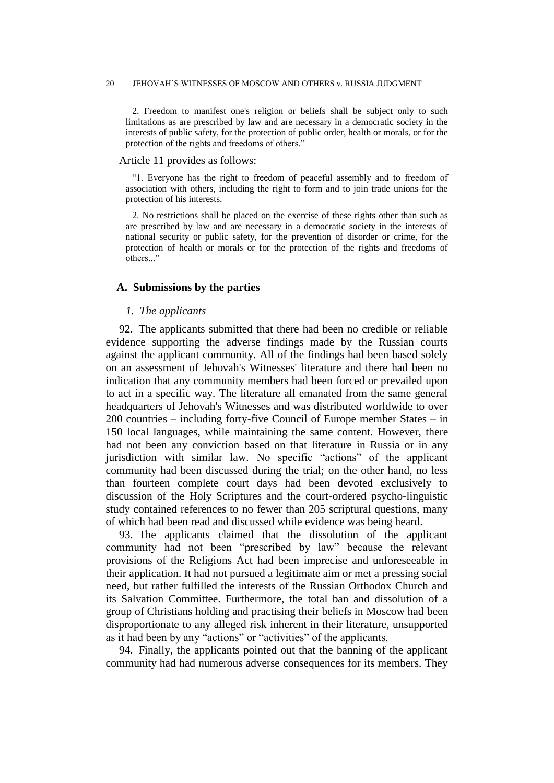#### 20 JEHOVAH'S WITNESSES OF MOSCOW AND OTHERS v. RUSSIA JUDGMENT

2. Freedom to manifest one's religion or beliefs shall be subject only to such limitations as are prescribed by law and are necessary in a democratic society in the interests of public safety, for the protection of public order, health or morals, or for the protection of the rights and freedoms of others."

#### Article 11 provides as follows:

"1. Everyone has the right to freedom of peaceful assembly and to freedom of association with others, including the right to form and to join trade unions for the protection of his interests.

2. No restrictions shall be placed on the exercise of these rights other than such as are prescribed by law and are necessary in a democratic society in the interests of national security or public safety, for the prevention of disorder or crime, for the protection of health or morals or for the protection of the rights and freedoms of others..."

#### **A. Submissions by the parties**

## *1. The applicants*

92. The applicants submitted that there had been no credible or reliable evidence supporting the adverse findings made by the Russian courts against the applicant community. All of the findings had been based solely on an assessment of Jehovah's Witnesses' literature and there had been no indication that any community members had been forced or prevailed upon to act in a specific way. The literature all emanated from the same general headquarters of Jehovah's Witnesses and was distributed worldwide to over 200 countries – including forty-five Council of Europe member States – in 150 local languages, while maintaining the same content. However, there had not been any conviction based on that literature in Russia or in any jurisdiction with similar law. No specific "actions" of the applicant community had been discussed during the trial; on the other hand, no less than fourteen complete court days had been devoted exclusively to discussion of the Holy Scriptures and the court-ordered psycho-linguistic study contained references to no fewer than 205 scriptural questions, many of which had been read and discussed while evidence was being heard.

93. The applicants claimed that the dissolution of the applicant community had not been "prescribed by law" because the relevant provisions of the Religions Act had been imprecise and unforeseeable in their application. It had not pursued a legitimate aim or met a pressing social need, but rather fulfilled the interests of the Russian Orthodox Church and its Salvation Committee. Furthermore, the total ban and dissolution of a group of Christians holding and practising their beliefs in Moscow had been disproportionate to any alleged risk inherent in their literature, unsupported as it had been by any "actions" or "activities" of the applicants.

94. Finally, the applicants pointed out that the banning of the applicant community had had numerous adverse consequences for its members. They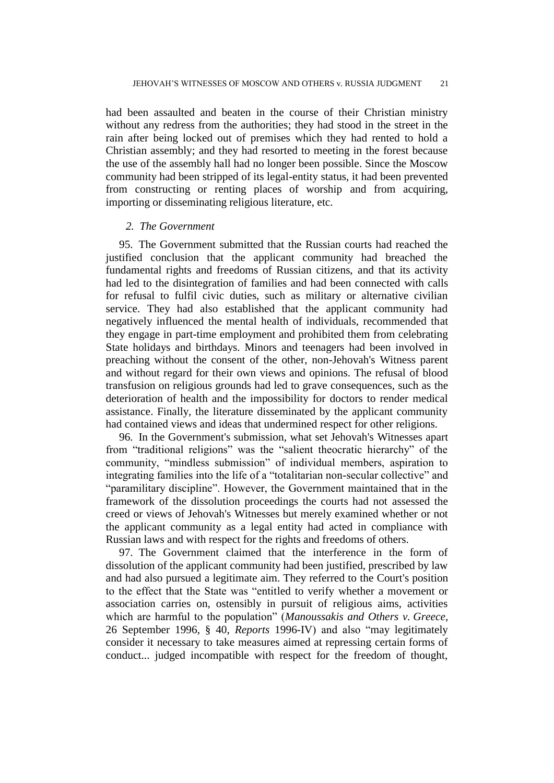had been assaulted and beaten in the course of their Christian ministry without any redress from the authorities; they had stood in the street in the rain after being locked out of premises which they had rented to hold a Christian assembly; and they had resorted to meeting in the forest because the use of the assembly hall had no longer been possible. Since the Moscow community had been stripped of its legal-entity status, it had been prevented from constructing or renting places of worship and from acquiring, importing or disseminating religious literature, etc.

#### *2. The Government*

95. The Government submitted that the Russian courts had reached the justified conclusion that the applicant community had breached the fundamental rights and freedoms of Russian citizens, and that its activity had led to the disintegration of families and had been connected with calls for refusal to fulfil civic duties, such as military or alternative civilian service. They had also established that the applicant community had negatively influenced the mental health of individuals, recommended that they engage in part-time employment and prohibited them from celebrating State holidays and birthdays. Minors and teenagers had been involved in preaching without the consent of the other, non-Jehovah's Witness parent and without regard for their own views and opinions. The refusal of blood transfusion on religious grounds had led to grave consequences, such as the deterioration of health and the impossibility for doctors to render medical assistance. Finally, the literature disseminated by the applicant community had contained views and ideas that undermined respect for other religions.

96. In the Government's submission, what set Jehovah's Witnesses apart from "traditional religions" was the "salient theocratic hierarchy" of the community, "mindless submission" of individual members, aspiration to integrating families into the life of a "totalitarian non-secular collective" and "paramilitary discipline". However, the Government maintained that in the framework of the dissolution proceedings the courts had not assessed the creed or views of Jehovah's Witnesses but merely examined whether or not the applicant community as a legal entity had acted in compliance with Russian laws and with respect for the rights and freedoms of others.

97. The Government claimed that the interference in the form of dissolution of the applicant community had been justified, prescribed by law and had also pursued a legitimate aim. They referred to the Court's position to the effect that the State was "entitled to verify whether a movement or association carries on, ostensibly in pursuit of religious aims, activities which are harmful to the population" (*Manoussakis and Others v. Greece*, 26 September 1996, § 40, *Reports* 1996-IV) and also "may legitimately consider it necessary to take measures aimed at repressing certain forms of conduct... judged incompatible with respect for the freedom of thought,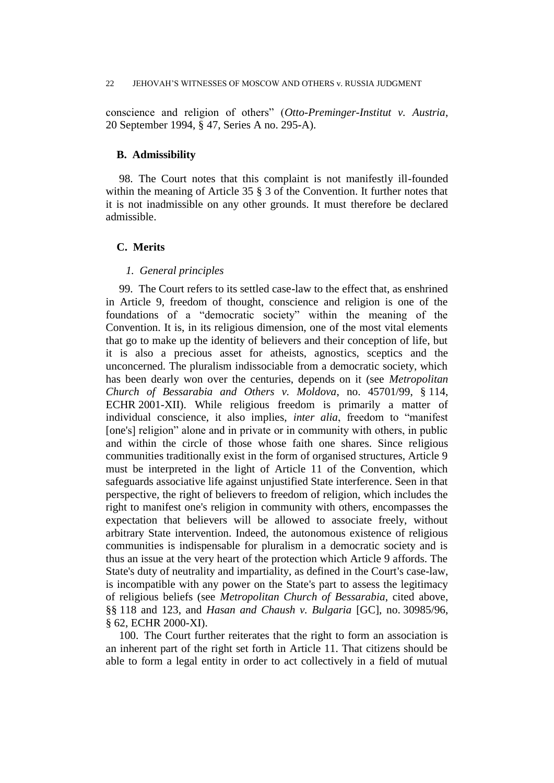#### 22 JEHOVAH'S WITNESSES OF MOSCOW AND OTHERS v. RUSSIA JUDGMENT

conscience and religion of others" (*Otto-Preminger-Institut v. Austria*, 20 September 1994, § 47, Series A no. 295-A).

#### **B. Admissibility**

98. The Court notes that this complaint is not manifestly ill-founded within the meaning of Article 35  $\S$  3 of the Convention. It further notes that it is not inadmissible on any other grounds. It must therefore be declared admissible.

## **C. Merits**

### *1. General principles*

99. The Court refers to its settled case-law to the effect that, as enshrined in Article 9, freedom of thought, conscience and religion is one of the foundations of a "democratic society" within the meaning of the Convention. It is, in its religious dimension, one of the most vital elements that go to make up the identity of believers and their conception of life, but it is also a precious asset for atheists, agnostics, sceptics and the unconcerned. The pluralism indissociable from a democratic society, which has been dearly won over the centuries, depends on it (see *Metropolitan Church of Bessarabia and Others v. Moldova*, no. 45701/99, § 114, ECHR 2001-XII). While religious freedom is primarily a matter of individual conscience, it also implies, *inter alia*, freedom to "manifest [one's] religion" alone and in private or in community with others, in public and within the circle of those whose faith one shares. Since religious communities traditionally exist in the form of organised structures, Article 9 must be interpreted in the light of Article 11 of the Convention, which safeguards associative life against unjustified State interference. Seen in that perspective, the right of believers to freedom of religion, which includes the right to manifest one's religion in community with others, encompasses the expectation that believers will be allowed to associate freely, without arbitrary State intervention. Indeed, the autonomous existence of religious communities is indispensable for pluralism in a democratic society and is thus an issue at the very heart of the protection which Article 9 affords. The State's duty of neutrality and impartiality, as defined in the Court's case-law, is incompatible with any power on the State's part to assess the legitimacy of religious beliefs (see *Metropolitan Church of Bessarabia*, cited above, §§ 118 and 123, and *Hasan and Chaush v. Bulgaria* [GC], no. 30985/96, § 62, ECHR 2000-XI).

100. The Court further reiterates that the right to form an association is an inherent part of the right set forth in Article 11. That citizens should be able to form a legal entity in order to act collectively in a field of mutual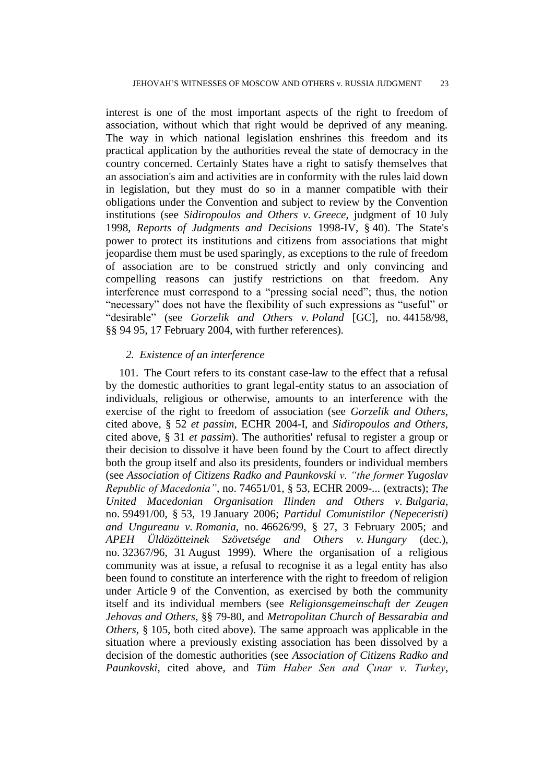interest is one of the most important aspects of the right to freedom of association, without which that right would be deprived of any meaning. The way in which national legislation enshrines this freedom and its practical application by the authorities reveal the state of democracy in the country concerned. Certainly States have a right to satisfy themselves that an association's aim and activities are in conformity with the rules laid down in legislation, but they must do so in a manner compatible with their obligations under the Convention and subject to review by the Convention institutions (see *Sidiropoulos and Others v. Greece*, judgment of 10 July 1998, *Reports of Judgments and Decisions* 1998-IV, § 40). The State's power to protect its institutions and citizens from associations that might jeopardise them must be used sparingly, as exceptions to the rule of freedom of association are to be construed strictly and only convincing and compelling reasons can justify restrictions on that freedom. Any interference must correspond to a "pressing social need"; thus, the notion "necessary" does not have the flexibility of such expressions as "useful" or "desirable" (see *Gorzelik and Others v. Poland* [GC], no. 44158/98, §§ 94 95, 17 February 2004, with further references).

#### *2. Existence of an interference*

101. The Court refers to its constant case-law to the effect that a refusal by the domestic authorities to grant legal-entity status to an association of individuals, religious or otherwise, amounts to an interference with the exercise of the right to freedom of association (see *Gorzelik and Others*, cited above, § 52 *et passim*, ECHR 2004-I, and *Sidiropoulos and Others*, cited above, § 31 *et passim*). The authorities' refusal to register a group or their decision to dissolve it have been found by the Court to affect directly both the group itself and also its presidents, founders or individual members (see *Association of Citizens Radko and Paunkovski v. "the former Yugoslav Republic of Macedonia"*, no. 74651/01, § 53, ECHR 2009-... (extracts); *The United Macedonian Organisation Ilinden and Others v. Bulgaria*, no. 59491/00, § 53, 19 January 2006; *Partidul Comunistilor (Nepeceristi) and Ungureanu v. Romania*, no. 46626/99, § 27, 3 February 2005; and *APEH Üldözötteinek Szövetsége and Others v. Hungary* (dec.), no. 32367/96, 31 August 1999). Where the organisation of a religious community was at issue, a refusal to recognise it as a legal entity has also been found to constitute an interference with the right to freedom of religion under Article 9 of the Convention, as exercised by both the community itself and its individual members (see *Religionsgemeinschaft der Zeugen Jehovas and Others*, §§ 79-80, and *Metropolitan Church of Bessarabia and Others*, § 105, both cited above). The same approach was applicable in the situation where a previously existing association has been dissolved by a decision of the domestic authorities (see *Association of Citizens Radko and Paunkovski*, cited above, and *Tüm Haber Sen and Çınar v. Turkey*,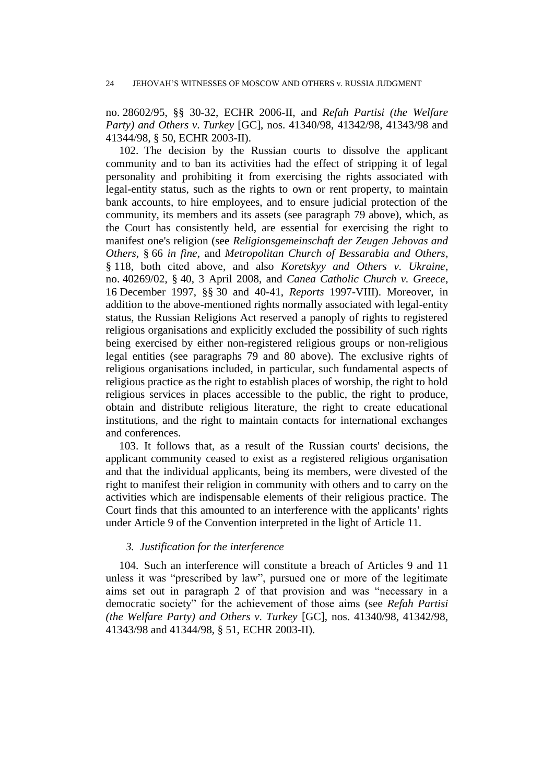no. 28602/95, §§ 30-32, ECHR 2006-II, and *Refah Partisi (the Welfare Party) and Others v. Turkey* [GC], nos. 41340/98, 41342/98, 41343/98 and 41344/98, § 50, ECHR 2003-II).

102. The decision by the Russian courts to dissolve the applicant community and to ban its activities had the effect of stripping it of legal personality and prohibiting it from exercising the rights associated with legal-entity status, such as the rights to own or rent property, to maintain bank accounts, to hire employees, and to ensure judicial protection of the community, its members and its assets (see paragraph 79 above), which, as the Court has consistently held, are essential for exercising the right to manifest one's religion (see *Religionsgemeinschaft der Zeugen Jehovas and Others*, § 66 *in fine*, and *Metropolitan Church of Bessarabia and Others*, § 118, both cited above, and also *Koretskyy and Others v. Ukraine*, no. 40269/02, § 40, 3 April 2008, and *Canea Catholic Church v. Greece*, 16 December 1997, §§ 30 and 40-41, *Reports* 1997-VIII). Moreover, in addition to the above-mentioned rights normally associated with legal-entity status, the Russian Religions Act reserved a panoply of rights to registered religious organisations and explicitly excluded the possibility of such rights being exercised by either non-registered religious groups or non-religious legal entities (see paragraphs 79 and 80 above). The exclusive rights of religious organisations included, in particular, such fundamental aspects of religious practice as the right to establish places of worship, the right to hold religious services in places accessible to the public, the right to produce, obtain and distribute religious literature, the right to create educational institutions, and the right to maintain contacts for international exchanges and conferences.

103. It follows that, as a result of the Russian courts' decisions, the applicant community ceased to exist as a registered religious organisation and that the individual applicants, being its members, were divested of the right to manifest their religion in community with others and to carry on the activities which are indispensable elements of their religious practice. The Court finds that this amounted to an interference with the applicants' rights under Article 9 of the Convention interpreted in the light of Article 11.

### *3. Justification for the interference*

104. Such an interference will constitute a breach of Articles 9 and 11 unless it was "prescribed by law", pursued one or more of the legitimate aims set out in paragraph 2 of that provision and was "necessary in a democratic society" for the achievement of those aims (see *Refah Partisi (the Welfare Party) and Others v. Turkey* [GC], nos. 41340/98, 41342/98, 41343/98 and 41344/98, § 51, ECHR 2003-II).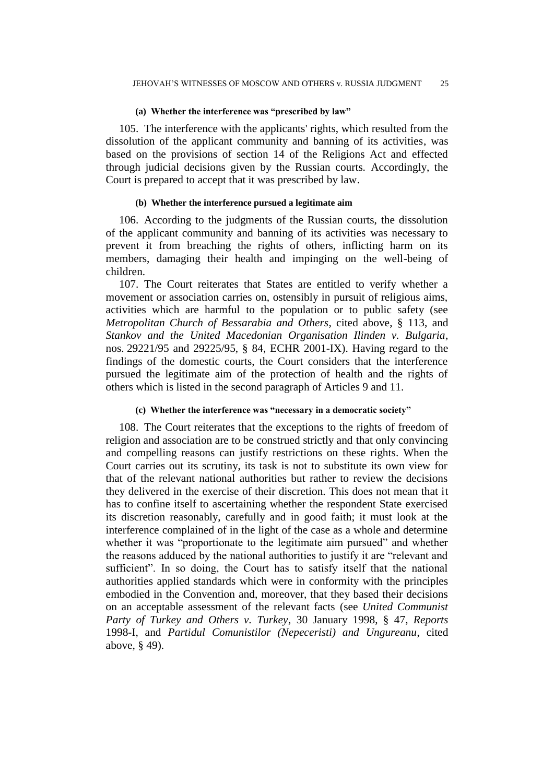#### **(a) Whether the interference was "prescribed by law"**

105. The interference with the applicants' rights, which resulted from the dissolution of the applicant community and banning of its activities, was based on the provisions of section 14 of the Religions Act and effected through judicial decisions given by the Russian courts. Accordingly, the Court is prepared to accept that it was prescribed by law.

#### **(b) Whether the interference pursued a legitimate aim**

106. According to the judgments of the Russian courts, the dissolution of the applicant community and banning of its activities was necessary to prevent it from breaching the rights of others, inflicting harm on its members, damaging their health and impinging on the well-being of children.

107. The Court reiterates that States are entitled to verify whether a movement or association carries on, ostensibly in pursuit of religious aims, activities which are harmful to the population or to public safety (see *Metropolitan Church of Bessarabia and Others*, cited above, § 113, and *Stankov and the United Macedonian Organisation Ilinden v. Bulgaria*, nos. 29221/95 and 29225/95, § 84, ECHR 2001-IX). Having regard to the findings of the domestic courts, the Court considers that the interference pursued the legitimate aim of the protection of health and the rights of others which is listed in the second paragraph of Articles 9 and 11.

#### **(c) Whether the interference was "necessary in a democratic society"**

108. The Court reiterates that the exceptions to the rights of freedom of religion and association are to be construed strictly and that only convincing and compelling reasons can justify restrictions on these rights. When the Court carries out its scrutiny, its task is not to substitute its own view for that of the relevant national authorities but rather to review the decisions they delivered in the exercise of their discretion. This does not mean that it has to confine itself to ascertaining whether the respondent State exercised its discretion reasonably, carefully and in good faith; it must look at the interference complained of in the light of the case as a whole and determine whether it was "proportionate to the legitimate aim pursued" and whether the reasons adduced by the national authorities to justify it are "relevant and sufficient". In so doing, the Court has to satisfy itself that the national authorities applied standards which were in conformity with the principles embodied in the Convention and, moreover, that they based their decisions on an acceptable assessment of the relevant facts (see *United Communist Party of Turkey and Others v. Turkey*, 30 January 1998, § 47, *Reports*  1998-I, and *Partidul Comunistilor (Nepeceristi) and Ungureanu*, cited above, § 49).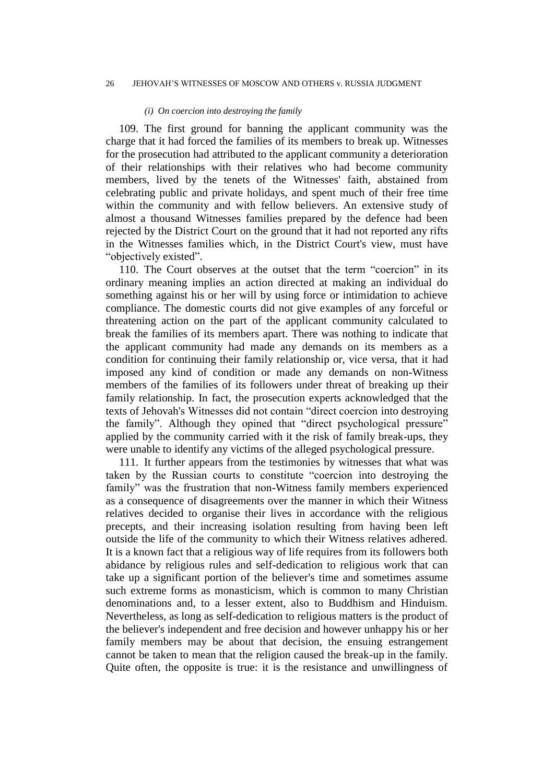#### 26 JEHOVAH'S WITNESSES OF MOSCOW AND OTHERS v. RUSSIA JUDGMENT

#### *(i) On coercion into destroying the family*

109. The first ground for banning the applicant community was the charge that it had forced the families of its members to break up. Witnesses for the prosecution had attributed to the applicant community a deterioration of their relationships with their relatives who had become community members, lived by the tenets of the Witnesses' faith, abstained from celebrating public and private holidays, and spent much of their free time within the community and with fellow believers. An extensive study of almost a thousand Witnesses families prepared by the defence had been rejected by the District Court on the ground that it had not reported any rifts in the Witnesses families which, in the District Court's view, must have "objectively existed".

110. The Court observes at the outset that the term "coercion" in its ordinary meaning implies an action directed at making an individual do something against his or her will by using force or intimidation to achieve compliance. The domestic courts did not give examples of any forceful or threatening action on the part of the applicant community calculated to break the families of its members apart. There was nothing to indicate that the applicant community had made any demands on its members as a condition for continuing their family relationship or, vice versa, that it had imposed any kind of condition or made any demands on non-Witness members of the families of its followers under threat of breaking up their family relationship. In fact, the prosecution experts acknowledged that the texts of Jehovah's Witnesses did not contain "direct coercion into destroying the family". Although they opined that "direct psychological pressure" applied by the community carried with it the risk of family break-ups, they were unable to identify any victims of the alleged psychological pressure.

111. It further appears from the testimonies by witnesses that what was taken by the Russian courts to constitute "coercion into destroying the family" was the frustration that non-Witness family members experienced as a consequence of disagreements over the manner in which their Witness relatives decided to organise their lives in accordance with the religious precepts, and their increasing isolation resulting from having been left outside the life of the community to which their Witness relatives adhered. It is a known fact that a religious way of life requires from its followers both abidance by religious rules and self-dedication to religious work that can take up a significant portion of the believer's time and sometimes assume such extreme forms as monasticism, which is common to many Christian denominations and, to a lesser extent, also to Buddhism and Hinduism. Nevertheless, as long as self-dedication to religious matters is the product of the believer's independent and free decision and however unhappy his or her family members may be about that decision, the ensuing estrangement cannot be taken to mean that the religion caused the break-up in the family. Quite often, the opposite is true: it is the resistance and unwillingness of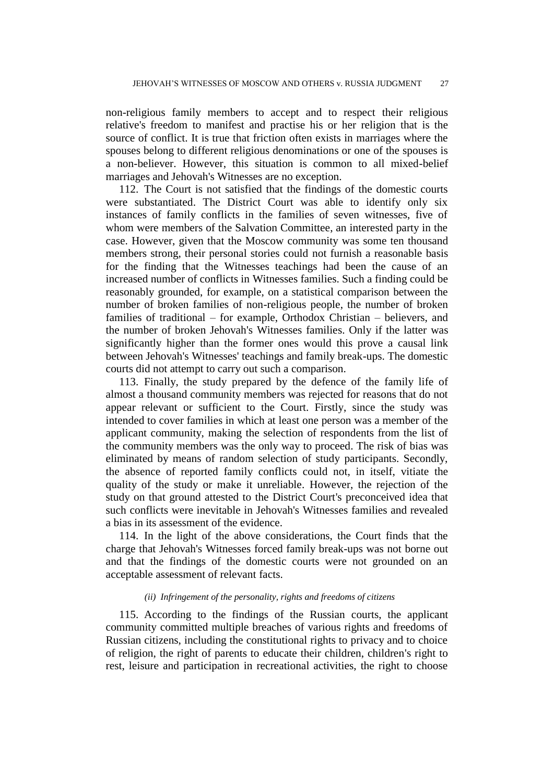non-religious family members to accept and to respect their religious relative's freedom to manifest and practise his or her religion that is the source of conflict. It is true that friction often exists in marriages where the spouses belong to different religious denominations or one of the spouses is a non-believer. However, this situation is common to all mixed-belief marriages and Jehovah's Witnesses are no exception.

112. The Court is not satisfied that the findings of the domestic courts were substantiated. The District Court was able to identify only six instances of family conflicts in the families of seven witnesses, five of whom were members of the Salvation Committee, an interested party in the case. However, given that the Moscow community was some ten thousand members strong, their personal stories could not furnish a reasonable basis for the finding that the Witnesses teachings had been the cause of an increased number of conflicts in Witnesses families. Such a finding could be reasonably grounded, for example, on a statistical comparison between the number of broken families of non-religious people, the number of broken families of traditional – for example, Orthodox Christian – believers, and the number of broken Jehovah's Witnesses families. Only if the latter was significantly higher than the former ones would this prove a causal link between Jehovah's Witnesses' teachings and family break-ups. The domestic courts did not attempt to carry out such a comparison.

113. Finally, the study prepared by the defence of the family life of almost a thousand community members was rejected for reasons that do not appear relevant or sufficient to the Court. Firstly, since the study was intended to cover families in which at least one person was a member of the applicant community, making the selection of respondents from the list of the community members was the only way to proceed. The risk of bias was eliminated by means of random selection of study participants. Secondly, the absence of reported family conflicts could not, in itself, vitiate the quality of the study or make it unreliable. However, the rejection of the study on that ground attested to the District Court's preconceived idea that such conflicts were inevitable in Jehovah's Witnesses families and revealed a bias in its assessment of the evidence.

114. In the light of the above considerations, the Court finds that the charge that Jehovah's Witnesses forced family break-ups was not borne out and that the findings of the domestic courts were not grounded on an acceptable assessment of relevant facts.

#### *(ii) Infringement of the personality, rights and freedoms of citizens*

115. According to the findings of the Russian courts, the applicant community committed multiple breaches of various rights and freedoms of Russian citizens, including the constitutional rights to privacy and to choice of religion, the right of parents to educate their children, children's right to rest, leisure and participation in recreational activities, the right to choose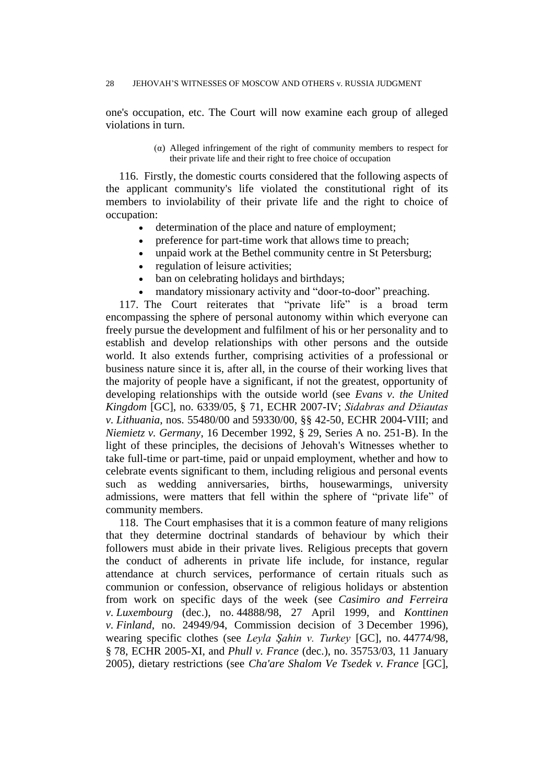one's occupation, etc. The Court will now examine each group of alleged violations in turn.

> (α) Alleged infringement of the right of community members to respect for their private life and their right to free choice of occupation

116. Firstly, the domestic courts considered that the following aspects of the applicant community's life violated the constitutional right of its members to inviolability of their private life and the right to choice of occupation:

- determination of the place and nature of employment;
- preference for part-time work that allows time to preach;
- unpaid work at the Bethel community centre in St Petersburg;
- regulation of leisure activities;
- ban on celebrating holidays and birthdays;
- mandatory missionary activity and "door-to-door" preaching.

117. The Court reiterates that "private life" is a broad term encompassing the sphere of personal autonomy within which everyone can freely pursue the development and fulfilment of his or her personality and to establish and develop relationships with other persons and the outside world. It also extends further, comprising activities of a professional or business nature since it is, after all, in the course of their working lives that the majority of people have a significant, if not the greatest, opportunity of developing relationships with the outside world (see *Evans v. the United Kingdom* [GC], no. 6339/05, § 71, ECHR 2007-IV; *Sidabras and Džiautas v. Lithuania*, nos. 55480/00 and 59330/00, §§ 42-50, ECHR 2004-VIII; and *Niemietz v. Germany*, 16 December 1992, § 29, Series A no. 251-B). In the light of these principles, the decisions of Jehovah's Witnesses whether to take full-time or part-time, paid or unpaid employment, whether and how to celebrate events significant to them, including religious and personal events such as wedding anniversaries, births, housewarmings, university admissions, were matters that fell within the sphere of "private life" of community members.

118. The Court emphasises that it is a common feature of many religions that they determine doctrinal standards of behaviour by which their followers must abide in their private lives. Religious precepts that govern the conduct of adherents in private life include, for instance, regular attendance at church services, performance of certain rituals such as communion or confession, observance of religious holidays or abstention from work on specific days of the week (see *Casimiro and Ferreira v. Luxembourg* (dec.), no. 44888/98, 27 April 1999, and *Konttinen v. Finland*, no. 24949/94, Commission decision of 3 December 1996), wearing specific clothes (see *Leyla Şahin v. Turkey* [GC], no. 44774/98, § 78, ECHR 2005-XI, and *Phull v. France* (dec.), no. 35753/03, 11 January 2005), dietary restrictions (see *Cha'are Shalom Ve Tsedek v. France* [GC],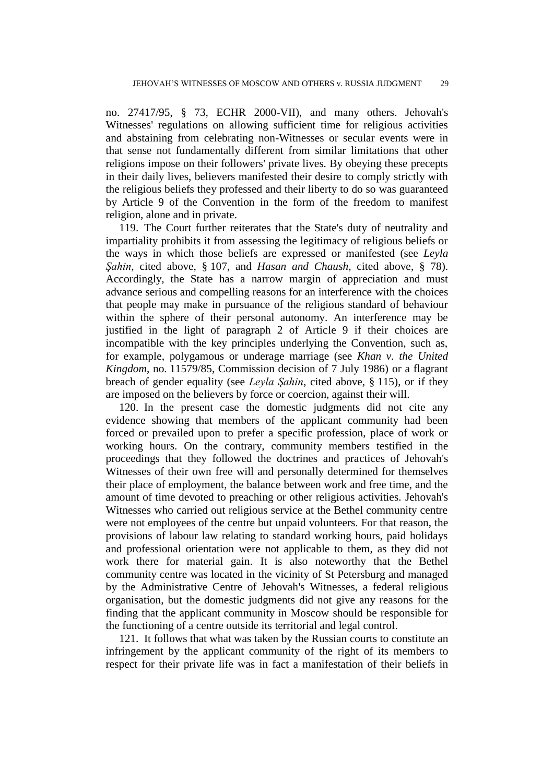no. 27417/95, § 73, ECHR 2000-VII), and many others. Jehovah's Witnesses' regulations on allowing sufficient time for religious activities and abstaining from celebrating non-Witnesses or secular events were in that sense not fundamentally different from similar limitations that other religions impose on their followers' private lives. By obeying these precepts in their daily lives, believers manifested their desire to comply strictly with the religious beliefs they professed and their liberty to do so was guaranteed by Article 9 of the Convention in the form of the freedom to manifest religion, alone and in private.

119. The Court further reiterates that the State's duty of neutrality and impartiality prohibits it from assessing the legitimacy of religious beliefs or the ways in which those beliefs are expressed or manifested (see *Leyla Şahin*, cited above, § 107, and *Hasan and Chaush*, cited above, § 78). Accordingly, the State has a narrow margin of appreciation and must advance serious and compelling reasons for an interference with the choices that people may make in pursuance of the religious standard of behaviour within the sphere of their personal autonomy. An interference may be justified in the light of paragraph 2 of Article 9 if their choices are incompatible with the key principles underlying the Convention, such as, for example, polygamous or underage marriage (see *Khan v. the United Kingdom*, no. 11579/85, Commission decision of 7 July 1986) or a flagrant breach of gender equality (see *Leyla Şahin*, cited above, § 115), or if they are imposed on the believers by force or coercion, against their will.

120. In the present case the domestic judgments did not cite any evidence showing that members of the applicant community had been forced or prevailed upon to prefer a specific profession, place of work or working hours. On the contrary, community members testified in the proceedings that they followed the doctrines and practices of Jehovah's Witnesses of their own free will and personally determined for themselves their place of employment, the balance between work and free time, and the amount of time devoted to preaching or other religious activities. Jehovah's Witnesses who carried out religious service at the Bethel community centre were not employees of the centre but unpaid volunteers. For that reason, the provisions of labour law relating to standard working hours, paid holidays and professional orientation were not applicable to them, as they did not work there for material gain. It is also noteworthy that the Bethel community centre was located in the vicinity of St Petersburg and managed by the Administrative Centre of Jehovah's Witnesses, a federal religious organisation, but the domestic judgments did not give any reasons for the finding that the applicant community in Moscow should be responsible for the functioning of a centre outside its territorial and legal control.

121. It follows that what was taken by the Russian courts to constitute an infringement by the applicant community of the right of its members to respect for their private life was in fact a manifestation of their beliefs in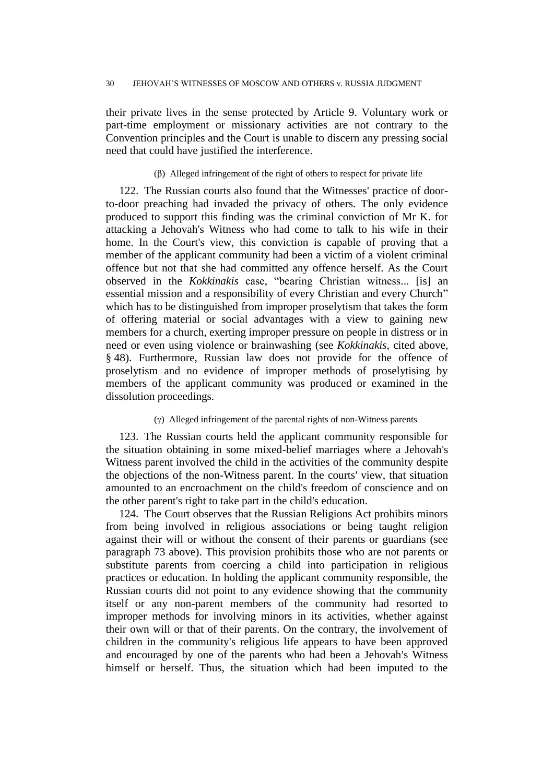their private lives in the sense protected by Article 9. Voluntary work or part-time employment or missionary activities are not contrary to the Convention principles and the Court is unable to discern any pressing social need that could have justified the interference.

### (β) Alleged infringement of the right of others to respect for private life

122. The Russian courts also found that the Witnesses' practice of doorto-door preaching had invaded the privacy of others. The only evidence produced to support this finding was the criminal conviction of Mr K. for attacking a Jehovah's Witness who had come to talk to his wife in their home. In the Court's view, this conviction is capable of proving that a member of the applicant community had been a victim of a violent criminal offence but not that she had committed any offence herself. As the Court observed in the *Kokkinakis* case, "bearing Christian witness... [is] an essential mission and a responsibility of every Christian and every Church" which has to be distinguished from improper proselytism that takes the form of offering material or social advantages with a view to gaining new members for a church, exerting improper pressure on people in distress or in need or even using violence or brainwashing (see *Kokkinakis*, cited above, § 48). Furthermore, Russian law does not provide for the offence of proselytism and no evidence of improper methods of proselytising by members of the applicant community was produced or examined in the dissolution proceedings.

#### (γ) Alleged infringement of the parental rights of non-Witness parents

123. The Russian courts held the applicant community responsible for the situation obtaining in some mixed-belief marriages where a Jehovah's Witness parent involved the child in the activities of the community despite the objections of the non-Witness parent. In the courts' view, that situation amounted to an encroachment on the child's freedom of conscience and on the other parent's right to take part in the child's education.

124. The Court observes that the Russian Religions Act prohibits minors from being involved in religious associations or being taught religion against their will or without the consent of their parents or guardians (see paragraph 73 above). This provision prohibits those who are not parents or substitute parents from coercing a child into participation in religious practices or education. In holding the applicant community responsible, the Russian courts did not point to any evidence showing that the community itself or any non-parent members of the community had resorted to improper methods for involving minors in its activities, whether against their own will or that of their parents. On the contrary, the involvement of children in the community's religious life appears to have been approved and encouraged by one of the parents who had been a Jehovah's Witness himself or herself. Thus, the situation which had been imputed to the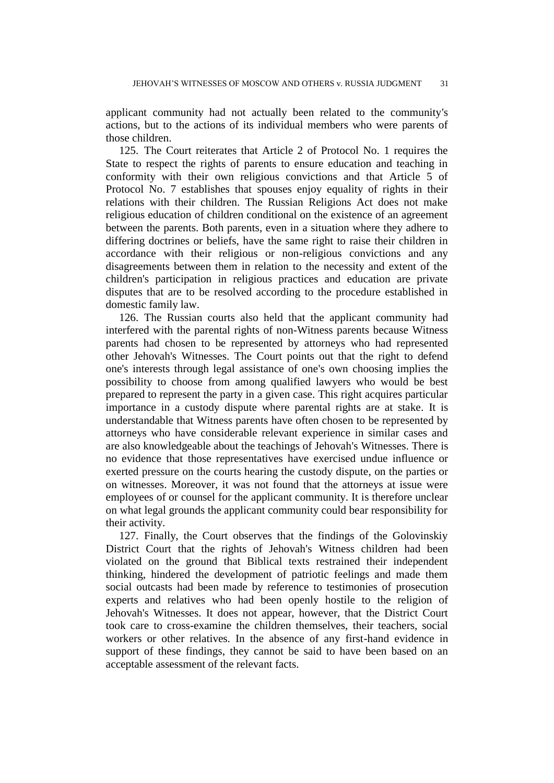applicant community had not actually been related to the community's actions, but to the actions of its individual members who were parents of those children.

125. The Court reiterates that Article 2 of Protocol No. 1 requires the State to respect the rights of parents to ensure education and teaching in conformity with their own religious convictions and that Article 5 of Protocol No. 7 establishes that spouses enjoy equality of rights in their relations with their children. The Russian Religions Act does not make religious education of children conditional on the existence of an agreement between the parents. Both parents, even in a situation where they adhere to differing doctrines or beliefs, have the same right to raise their children in accordance with their religious or non-religious convictions and any disagreements between them in relation to the necessity and extent of the children's participation in religious practices and education are private disputes that are to be resolved according to the procedure established in domestic family law.

126. The Russian courts also held that the applicant community had interfered with the parental rights of non-Witness parents because Witness parents had chosen to be represented by attorneys who had represented other Jehovah's Witnesses. The Court points out that the right to defend one's interests through legal assistance of one's own choosing implies the possibility to choose from among qualified lawyers who would be best prepared to represent the party in a given case. This right acquires particular importance in a custody dispute where parental rights are at stake. It is understandable that Witness parents have often chosen to be represented by attorneys who have considerable relevant experience in similar cases and are also knowledgeable about the teachings of Jehovah's Witnesses. There is no evidence that those representatives have exercised undue influence or exerted pressure on the courts hearing the custody dispute, on the parties or on witnesses. Moreover, it was not found that the attorneys at issue were employees of or counsel for the applicant community. It is therefore unclear on what legal grounds the applicant community could bear responsibility for their activity.

127. Finally, the Court observes that the findings of the Golovinskiy District Court that the rights of Jehovah's Witness children had been violated on the ground that Biblical texts restrained their independent thinking, hindered the development of patriotic feelings and made them social outcasts had been made by reference to testimonies of prosecution experts and relatives who had been openly hostile to the religion of Jehovah's Witnesses. It does not appear, however, that the District Court took care to cross-examine the children themselves, their teachers, social workers or other relatives. In the absence of any first-hand evidence in support of these findings, they cannot be said to have been based on an acceptable assessment of the relevant facts.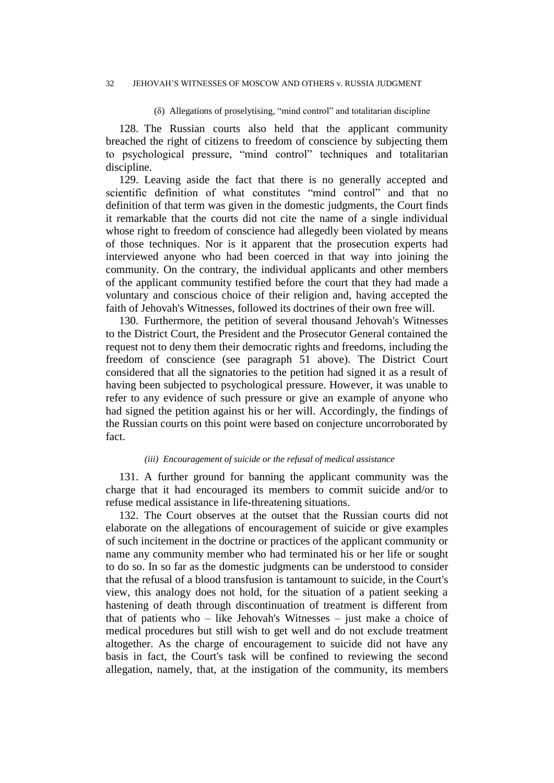#### 32 JEHOVAH'S WITNESSES OF MOSCOW AND OTHERS v. RUSSIA JUDGMENT

(δ) Allegations of proselytising, "mind control" and totalitarian discipline

128. The Russian courts also held that the applicant community breached the right of citizens to freedom of conscience by subjecting them to psychological pressure, "mind control" techniques and totalitarian discipline.

129. Leaving aside the fact that there is no generally accepted and scientific definition of what constitutes "mind control" and that no definition of that term was given in the domestic judgments, the Court finds it remarkable that the courts did not cite the name of a single individual whose right to freedom of conscience had allegedly been violated by means of those techniques. Nor is it apparent that the prosecution experts had interviewed anyone who had been coerced in that way into joining the community. On the contrary, the individual applicants and other members of the applicant community testified before the court that they had made a voluntary and conscious choice of their religion and, having accepted the faith of Jehovah's Witnesses, followed its doctrines of their own free will.

130. Furthermore, the petition of several thousand Jehovah's Witnesses to the District Court, the President and the Prosecutor General contained the request not to deny them their democratic rights and freedoms, including the freedom of conscience (see paragraph 51 above). The District Court considered that all the signatories to the petition had signed it as a result of having been subjected to psychological pressure. However, it was unable to refer to any evidence of such pressure or give an example of anyone who had signed the petition against his or her will. Accordingly, the findings of the Russian courts on this point were based on conjecture uncorroborated by fact.

#### *(iii) Encouragement of suicide or the refusal of medical assistance*

131. A further ground for banning the applicant community was the charge that it had encouraged its members to commit suicide and/or to refuse medical assistance in life-threatening situations.

132. The Court observes at the outset that the Russian courts did not elaborate on the allegations of encouragement of suicide or give examples of such incitement in the doctrine or practices of the applicant community or name any community member who had terminated his or her life or sought to do so. In so far as the domestic judgments can be understood to consider that the refusal of a blood transfusion is tantamount to suicide, in the Court's view, this analogy does not hold, for the situation of a patient seeking a hastening of death through discontinuation of treatment is different from that of patients who – like Jehovah's Witnesses – just make a choice of medical procedures but still wish to get well and do not exclude treatment altogether. As the charge of encouragement to suicide did not have any basis in fact, the Court's task will be confined to reviewing the second allegation, namely, that, at the instigation of the community, its members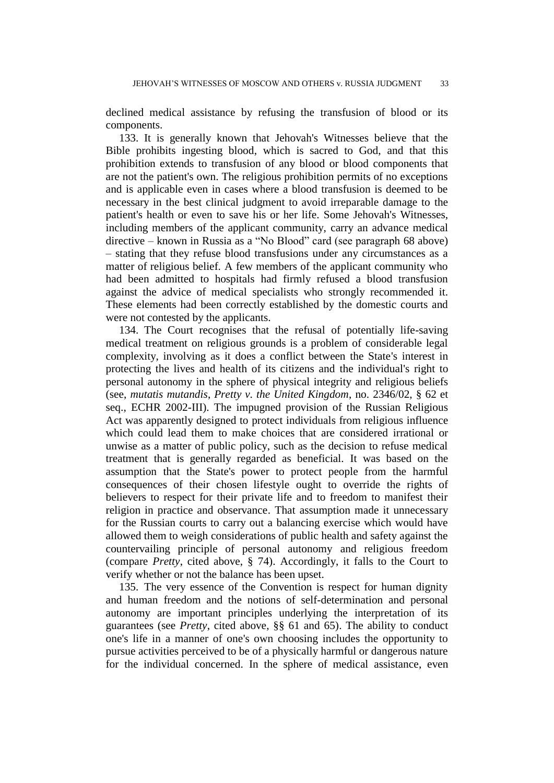declined medical assistance by refusing the transfusion of blood or its components.

133. It is generally known that Jehovah's Witnesses believe that the Bible prohibits ingesting blood, which is sacred to God, and that this prohibition extends to transfusion of any blood or blood components that are not the patient's own. The religious prohibition permits of no exceptions and is applicable even in cases where a blood transfusion is deemed to be necessary in the best clinical judgment to avoid irreparable damage to the patient's health or even to save his or her life. Some Jehovah's Witnesses, including members of the applicant community, carry an advance medical directive – known in Russia as a "No Blood" card (see paragraph 68 above) – stating that they refuse blood transfusions under any circumstances as a matter of religious belief. A few members of the applicant community who had been admitted to hospitals had firmly refused a blood transfusion against the advice of medical specialists who strongly recommended it. These elements had been correctly established by the domestic courts and were not contested by the applicants.

134. The Court recognises that the refusal of potentially life-saving medical treatment on religious grounds is a problem of considerable legal complexity, involving as it does a conflict between the State's interest in protecting the lives and health of its citizens and the individual's right to personal autonomy in the sphere of physical integrity and religious beliefs (see, *mutatis mutandis*, *Pretty v. the United Kingdom*, no. 2346/02, § 62 et seq., ECHR 2002-III). The impugned provision of the Russian Religious Act was apparently designed to protect individuals from religious influence which could lead them to make choices that are considered irrational or unwise as a matter of public policy, such as the decision to refuse medical treatment that is generally regarded as beneficial. It was based on the assumption that the State's power to protect people from the harmful consequences of their chosen lifestyle ought to override the rights of believers to respect for their private life and to freedom to manifest their religion in practice and observance. That assumption made it unnecessary for the Russian courts to carry out a balancing exercise which would have allowed them to weigh considerations of public health and safety against the countervailing principle of personal autonomy and religious freedom (compare *Pretty*, cited above, § 74). Accordingly, it falls to the Court to verify whether or not the balance has been upset.

135. The very essence of the Convention is respect for human dignity and human freedom and the notions of self-determination and personal autonomy are important principles underlying the interpretation of its guarantees (see *Pretty*, cited above, §§ 61 and 65). The ability to conduct one's life in a manner of one's own choosing includes the opportunity to pursue activities perceived to be of a physically harmful or dangerous nature for the individual concerned. In the sphere of medical assistance, even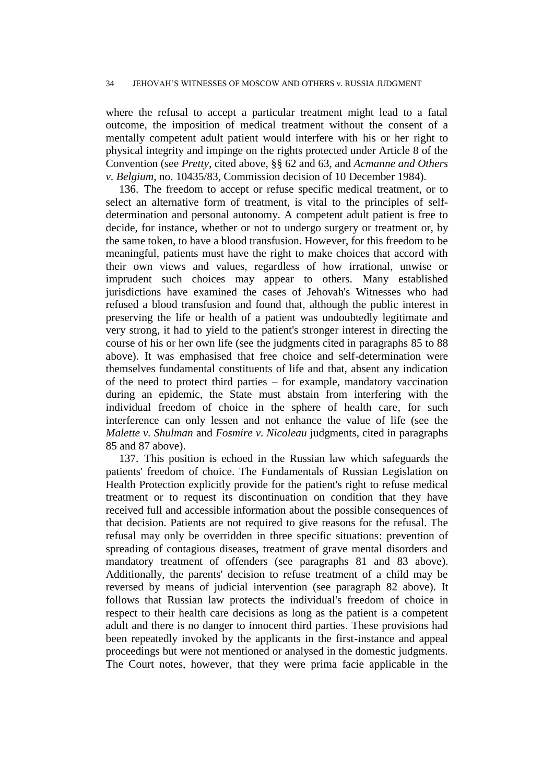where the refusal to accept a particular treatment might lead to a fatal outcome, the imposition of medical treatment without the consent of a mentally competent adult patient would interfere with his or her right to physical integrity and impinge on the rights protected under Article 8 of the Convention (see *Pretty*, cited above, §§ 62 and 63, and *Acmanne and Others v. Belgium*, no. 10435/83, Commission decision of 10 December 1984).

136. The freedom to accept or refuse specific medical treatment, or to select an alternative form of treatment, is vital to the principles of selfdetermination and personal autonomy. A competent adult patient is free to decide, for instance, whether or not to undergo surgery or treatment or, by the same token, to have a blood transfusion. However, for this freedom to be meaningful, patients must have the right to make choices that accord with their own views and values, regardless of how irrational, unwise or imprudent such choices may appear to others. Many established jurisdictions have examined the cases of Jehovah's Witnesses who had refused a blood transfusion and found that, although the public interest in preserving the life or health of a patient was undoubtedly legitimate and very strong, it had to yield to the patient's stronger interest in directing the course of his or her own life (see the judgments cited in paragraphs 85 to 88 above). It was emphasised that free choice and self-determination were themselves fundamental constituents of life and that, absent any indication of the need to protect third parties – for example, mandatory vaccination during an epidemic, the State must abstain from interfering with the individual freedom of choice in the sphere of health care, for such interference can only lessen and not enhance the value of life (see the *Malette v. Shulman* and *Fosmire v. Nicoleau* judgments, cited in paragraphs 85 and 87 above).

137. This position is echoed in the Russian law which safeguards the patients' freedom of choice. The Fundamentals of Russian Legislation on Health Protection explicitly provide for the patient's right to refuse medical treatment or to request its discontinuation on condition that they have received full and accessible information about the possible consequences of that decision. Patients are not required to give reasons for the refusal. The refusal may only be overridden in three specific situations: prevention of spreading of contagious diseases, treatment of grave mental disorders and mandatory treatment of offenders (see paragraphs 81 and 83 above). Additionally, the parents' decision to refuse treatment of a child may be reversed by means of judicial intervention (see paragraph 82 above). It follows that Russian law protects the individual's freedom of choice in respect to their health care decisions as long as the patient is a competent adult and there is no danger to innocent third parties. These provisions had been repeatedly invoked by the applicants in the first-instance and appeal proceedings but were not mentioned or analysed in the domestic judgments. The Court notes, however, that they were prima facie applicable in the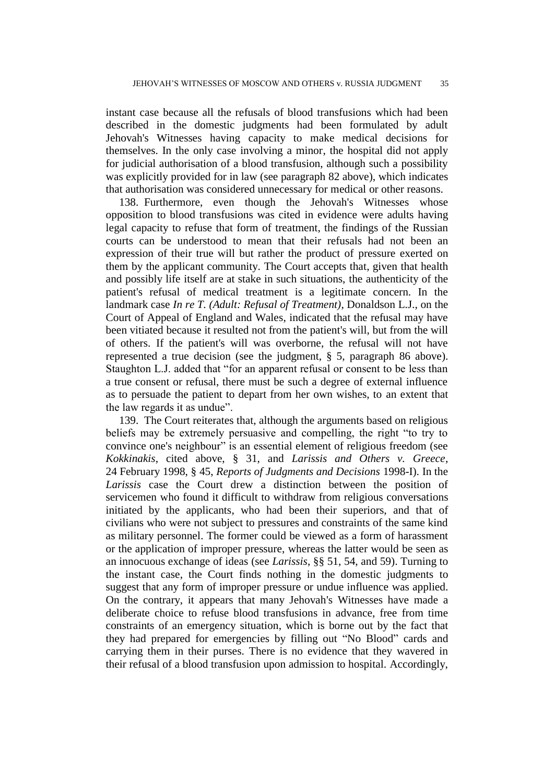instant case because all the refusals of blood transfusions which had been described in the domestic judgments had been formulated by adult Jehovah's Witnesses having capacity to make medical decisions for themselves. In the only case involving a minor, the hospital did not apply for judicial authorisation of a blood transfusion, although such a possibility was explicitly provided for in law (see paragraph 82 above), which indicates that authorisation was considered unnecessary for medical or other reasons.

138. Furthermore, even though the Jehovah's Witnesses whose opposition to blood transfusions was cited in evidence were adults having legal capacity to refuse that form of treatment, the findings of the Russian courts can be understood to mean that their refusals had not been an expression of their true will but rather the product of pressure exerted on them by the applicant community. The Court accepts that, given that health and possibly life itself are at stake in such situations, the authenticity of the patient's refusal of medical treatment is a legitimate concern. In the landmark case *In re T. (Adult: Refusal of Treatment)*, Donaldson L.J., on the Court of Appeal of England and Wales, indicated that the refusal may have been vitiated because it resulted not from the patient's will, but from the will of others. If the patient's will was overborne, the refusal will not have represented a true decision (see the judgment, § 5, paragraph 86 above). Staughton L.J. added that "for an apparent refusal or consent to be less than a true consent or refusal, there must be such a degree of external influence as to persuade the patient to depart from her own wishes, to an extent that the law regards it as undue".

139. The Court reiterates that, although the arguments based on religious beliefs may be extremely persuasive and compelling, the right "to try to convince one's neighbour" is an essential element of religious freedom (see *Kokkinakis*, cited above, § 31, and *Larissis and Others v. Greece*, 24 February 1998, § 45, *Reports of Judgments and Decisions* 1998-I). In the *Larissis* case the Court drew a distinction between the position of servicemen who found it difficult to withdraw from religious conversations initiated by the applicants, who had been their superiors, and that of civilians who were not subject to pressures and constraints of the same kind as military personnel. The former could be viewed as a form of harassment or the application of improper pressure, whereas the latter would be seen as an innocuous exchange of ideas (see *Larissis*, §§ 51, 54, and 59). Turning to the instant case, the Court finds nothing in the domestic judgments to suggest that any form of improper pressure or undue influence was applied. On the contrary, it appears that many Jehovah's Witnesses have made a deliberate choice to refuse blood transfusions in advance, free from time constraints of an emergency situation, which is borne out by the fact that they had prepared for emergencies by filling out "No Blood" cards and carrying them in their purses. There is no evidence that they wavered in their refusal of a blood transfusion upon admission to hospital. Accordingly,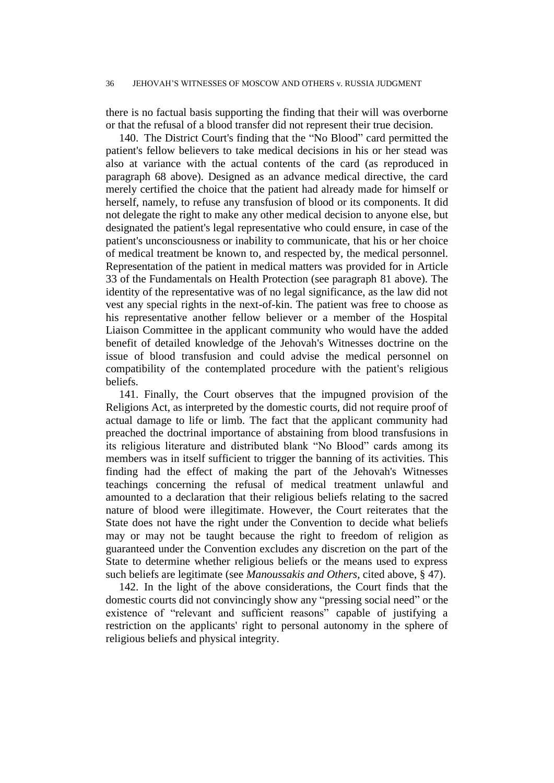there is no factual basis supporting the finding that their will was overborne or that the refusal of a blood transfer did not represent their true decision.

140. The District Court's finding that the "No Blood" card permitted the patient's fellow believers to take medical decisions in his or her stead was also at variance with the actual contents of the card (as reproduced in paragraph 68 above). Designed as an advance medical directive, the card merely certified the choice that the patient had already made for himself or herself, namely, to refuse any transfusion of blood or its components. It did not delegate the right to make any other medical decision to anyone else, but designated the patient's legal representative who could ensure, in case of the patient's unconsciousness or inability to communicate, that his or her choice of medical treatment be known to, and respected by, the medical personnel. Representation of the patient in medical matters was provided for in Article 33 of the Fundamentals on Health Protection (see paragraph 81 above). The identity of the representative was of no legal significance, as the law did not vest any special rights in the next-of-kin. The patient was free to choose as his representative another fellow believer or a member of the Hospital Liaison Committee in the applicant community who would have the added benefit of detailed knowledge of the Jehovah's Witnesses doctrine on the issue of blood transfusion and could advise the medical personnel on compatibility of the contemplated procedure with the patient's religious beliefs.

141. Finally, the Court observes that the impugned provision of the Religions Act, as interpreted by the domestic courts, did not require proof of actual damage to life or limb. The fact that the applicant community had preached the doctrinal importance of abstaining from blood transfusions in its religious literature and distributed blank "No Blood" cards among its members was in itself sufficient to trigger the banning of its activities. This finding had the effect of making the part of the Jehovah's Witnesses teachings concerning the refusal of medical treatment unlawful and amounted to a declaration that their religious beliefs relating to the sacred nature of blood were illegitimate. However, the Court reiterates that the State does not have the right under the Convention to decide what beliefs may or may not be taught because the right to freedom of religion as guaranteed under the Convention excludes any discretion on the part of the State to determine whether religious beliefs or the means used to express such beliefs are legitimate (see *Manoussakis and Others*, cited above, § 47).

142. In the light of the above considerations, the Court finds that the domestic courts did not convincingly show any "pressing social need" or the existence of "relevant and sufficient reasons" capable of justifying a restriction on the applicants' right to personal autonomy in the sphere of religious beliefs and physical integrity.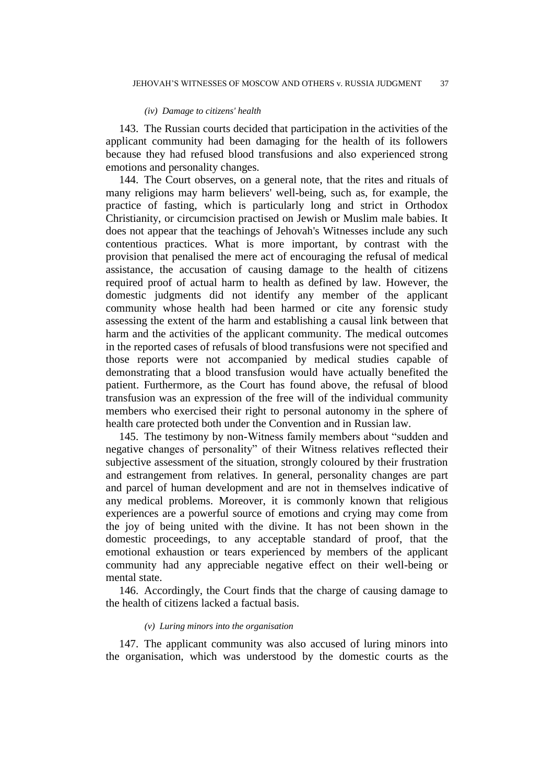#### *(iv) Damage to citizens' health*

143. The Russian courts decided that participation in the activities of the applicant community had been damaging for the health of its followers because they had refused blood transfusions and also experienced strong emotions and personality changes.

144. The Court observes, on a general note, that the rites and rituals of many religions may harm believers' well-being, such as, for example, the practice of fasting, which is particularly long and strict in Orthodox Christianity, or circumcision practised on Jewish or Muslim male babies. It does not appear that the teachings of Jehovah's Witnesses include any such contentious practices. What is more important, by contrast with the provision that penalised the mere act of encouraging the refusal of medical assistance, the accusation of causing damage to the health of citizens required proof of actual harm to health as defined by law. However, the domestic judgments did not identify any member of the applicant community whose health had been harmed or cite any forensic study assessing the extent of the harm and establishing a causal link between that harm and the activities of the applicant community. The medical outcomes in the reported cases of refusals of blood transfusions were not specified and those reports were not accompanied by medical studies capable of demonstrating that a blood transfusion would have actually benefited the patient. Furthermore, as the Court has found above, the refusal of blood transfusion was an expression of the free will of the individual community members who exercised their right to personal autonomy in the sphere of health care protected both under the Convention and in Russian law.

145. The testimony by non-Witness family members about "sudden and negative changes of personality" of their Witness relatives reflected their subjective assessment of the situation, strongly coloured by their frustration and estrangement from relatives. In general, personality changes are part and parcel of human development and are not in themselves indicative of any medical problems. Moreover, it is commonly known that religious experiences are a powerful source of emotions and crying may come from the joy of being united with the divine. It has not been shown in the domestic proceedings, to any acceptable standard of proof, that the emotional exhaustion or tears experienced by members of the applicant community had any appreciable negative effect on their well-being or mental state.

146. Accordingly, the Court finds that the charge of causing damage to the health of citizens lacked a factual basis.

### *(v) Luring minors into the organisation*

147. The applicant community was also accused of luring minors into the organisation, which was understood by the domestic courts as the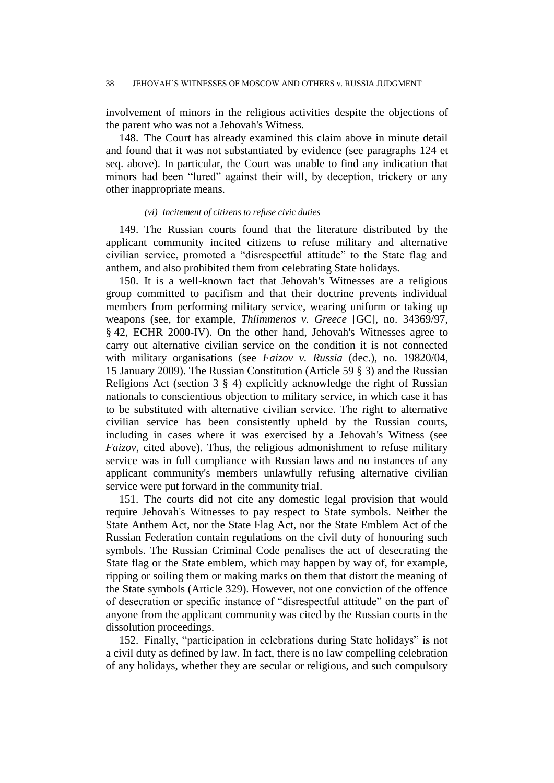involvement of minors in the religious activities despite the objections of the parent who was not a Jehovah's Witness.

148. The Court has already examined this claim above in minute detail and found that it was not substantiated by evidence (see paragraphs 124 et seq. above). In particular, the Court was unable to find any indication that minors had been "lured" against their will, by deception, trickery or any other inappropriate means.

#### *(vi) Incitement of citizens to refuse civic duties*

149. The Russian courts found that the literature distributed by the applicant community incited citizens to refuse military and alternative civilian service, promoted a "disrespectful attitude" to the State flag and anthem, and also prohibited them from celebrating State holidays.

150. It is a well-known fact that Jehovah's Witnesses are a religious group committed to pacifism and that their doctrine prevents individual members from performing military service, wearing uniform or taking up weapons (see, for example, *Thlimmenos v. Greece* [GC], no. 34369/97, § 42, ECHR 2000-IV). On the other hand, Jehovah's Witnesses agree to carry out alternative civilian service on the condition it is not connected with military organisations (see *Faizov v. Russia* (dec.), no. 19820/04, 15 January 2009). The Russian Constitution (Article 59 § 3) and the Russian Religions Act (section 3 § 4) explicitly acknowledge the right of Russian nationals to conscientious objection to military service, in which case it has to be substituted with alternative civilian service. The right to alternative civilian service has been consistently upheld by the Russian courts, including in cases where it was exercised by a Jehovah's Witness (see *Faizov*, cited above). Thus, the religious admonishment to refuse military service was in full compliance with Russian laws and no instances of any applicant community's members unlawfully refusing alternative civilian service were put forward in the community trial.

151. The courts did not cite any domestic legal provision that would require Jehovah's Witnesses to pay respect to State symbols. Neither the State Anthem Act, nor the State Flag Act, nor the State Emblem Act of the Russian Federation contain regulations on the civil duty of honouring such symbols. The Russian Criminal Code penalises the act of desecrating the State flag or the State emblem, which may happen by way of, for example, ripping or soiling them or making marks on them that distort the meaning of the State symbols (Article 329). However, not one conviction of the offence of desecration or specific instance of "disrespectful attitude" on the part of anyone from the applicant community was cited by the Russian courts in the dissolution proceedings.

152. Finally, "participation in celebrations during State holidays" is not a civil duty as defined by law. In fact, there is no law compelling celebration of any holidays, whether they are secular or religious, and such compulsory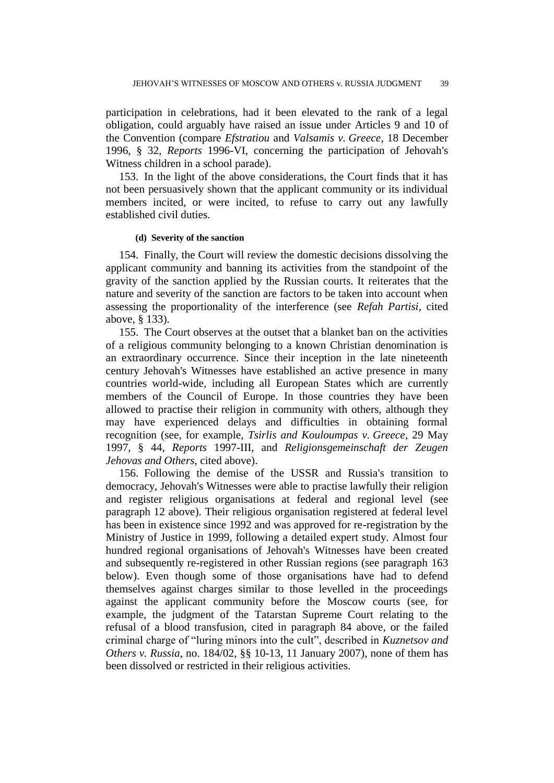participation in celebrations, had it been elevated to the rank of a legal obligation, could arguably have raised an issue under Articles 9 and 10 of the Convention (compare *Efstratiou* and *Valsamis v. Greece*, 18 December 1996, § 32, *Reports* 1996-VI, concerning the participation of Jehovah's Witness children in a school parade).

153. In the light of the above considerations, the Court finds that it has not been persuasively shown that the applicant community or its individual members incited, or were incited, to refuse to carry out any lawfully established civil duties.

#### **(d) Severity of the sanction**

154. Finally, the Court will review the domestic decisions dissolving the applicant community and banning its activities from the standpoint of the gravity of the sanction applied by the Russian courts. It reiterates that the nature and severity of the sanction are factors to be taken into account when assessing the proportionality of the interference (see *Refah Partisi*, cited above, § 133).

155. The Court observes at the outset that a blanket ban on the activities of a religious community belonging to a known Christian denomination is an extraordinary occurrence. Since their inception in the late nineteenth century Jehovah's Witnesses have established an active presence in many countries world-wide, including all European States which are currently members of the Council of Europe. In those countries they have been allowed to practise their religion in community with others, although they may have experienced delays and difficulties in obtaining formal recognition (see, for example, *Tsirlis and Kouloumpas v. Greece*, 29 May 1997, § 44, *Reports* 1997-III, and *Religionsgemeinschaft der Zeugen Jehovas and Others*, cited above).

156. Following the demise of the USSR and Russia's transition to democracy, Jehovah's Witnesses were able to practise lawfully their religion and register religious organisations at federal and regional level (see paragraph 12 above). Their religious organisation registered at federal level has been in existence since 1992 and was approved for re-registration by the Ministry of Justice in 1999, following a detailed expert study. Almost four hundred regional organisations of Jehovah's Witnesses have been created and subsequently re-registered in other Russian regions (see paragraph 163 below). Even though some of those organisations have had to defend themselves against charges similar to those levelled in the proceedings against the applicant community before the Moscow courts (see, for example, the judgment of the Tatarstan Supreme Court relating to the refusal of a blood transfusion, cited in paragraph 84 above, or the failed criminal charge of "luring minors into the cult", described in *Kuznetsov and Others v. Russia*, no. 184/02, §§ 10-13, 11 January 2007), none of them has been dissolved or restricted in their religious activities.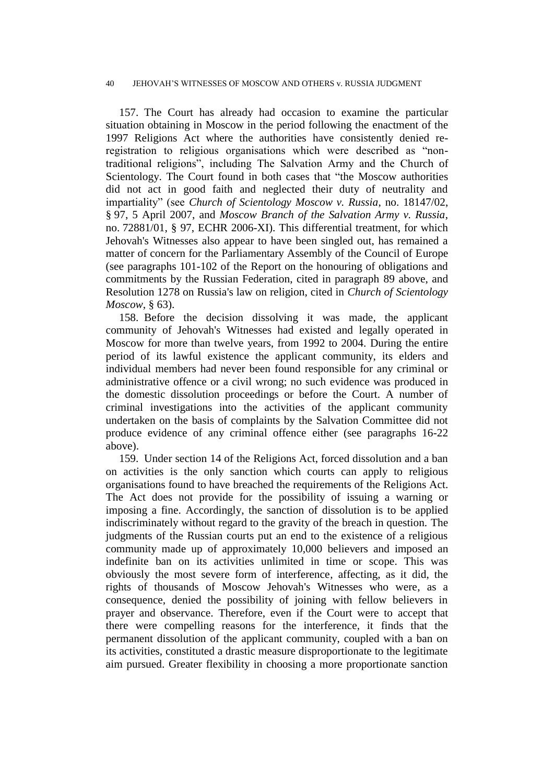#### 40 JEHOVAH'S WITNESSES OF MOSCOW AND OTHERS v. RUSSIA JUDGMENT

157. The Court has already had occasion to examine the particular situation obtaining in Moscow in the period following the enactment of the 1997 Religions Act where the authorities have consistently denied reregistration to religious organisations which were described as "nontraditional religions", including The Salvation Army and the Church of Scientology. The Court found in both cases that "the Moscow authorities did not act in good faith and neglected their duty of neutrality and impartiality" (see *Church of Scientology Moscow v. Russia*, no. 18147/02, § 97, 5 April 2007, and *Moscow Branch of the Salvation Army v. Russia*, no. 72881/01, § 97, ECHR 2006-XI). This differential treatment, for which Jehovah's Witnesses also appear to have been singled out, has remained a matter of concern for the Parliamentary Assembly of the Council of Europe (see paragraphs 101-102 of the Report on the honouring of obligations and commitments by the Russian Federation, cited in paragraph 89 above, and Resolution 1278 on Russia's law on religion, cited in *Church of Scientology Moscow*, § 63).

158. Before the decision dissolving it was made, the applicant community of Jehovah's Witnesses had existed and legally operated in Moscow for more than twelve years, from 1992 to 2004. During the entire period of its lawful existence the applicant community, its elders and individual members had never been found responsible for any criminal or administrative offence or a civil wrong; no such evidence was produced in the domestic dissolution proceedings or before the Court. A number of criminal investigations into the activities of the applicant community undertaken on the basis of complaints by the Salvation Committee did not produce evidence of any criminal offence either (see paragraphs 16-22 above).

159. Under section 14 of the Religions Act, forced dissolution and a ban on activities is the only sanction which courts can apply to religious organisations found to have breached the requirements of the Religions Act. The Act does not provide for the possibility of issuing a warning or imposing a fine. Accordingly, the sanction of dissolution is to be applied indiscriminately without regard to the gravity of the breach in question. The judgments of the Russian courts put an end to the existence of a religious community made up of approximately 10,000 believers and imposed an indefinite ban on its activities unlimited in time or scope. This was obviously the most severe form of interference, affecting, as it did, the rights of thousands of Moscow Jehovah's Witnesses who were, as a consequence, denied the possibility of joining with fellow believers in prayer and observance. Therefore, even if the Court were to accept that there were compelling reasons for the interference, it finds that the permanent dissolution of the applicant community, coupled with a ban on its activities, constituted a drastic measure disproportionate to the legitimate aim pursued. Greater flexibility in choosing a more proportionate sanction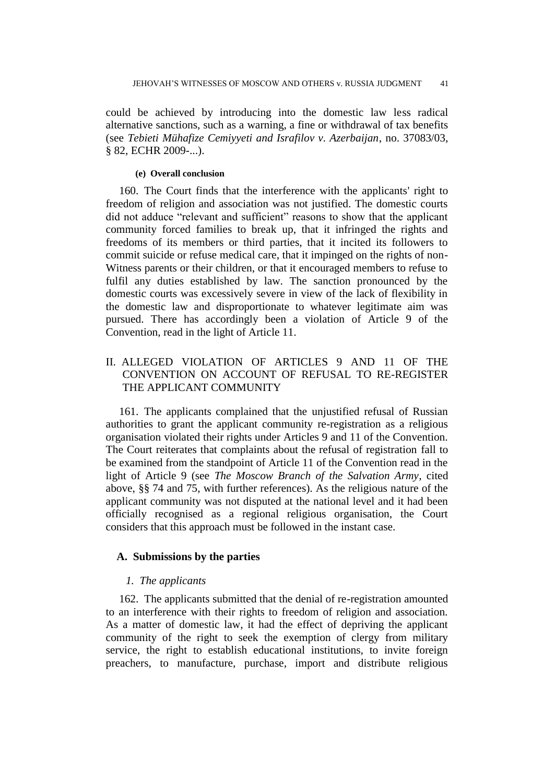could be achieved by introducing into the domestic law less radical alternative sanctions, such as a warning, a fine or withdrawal of tax benefits (see *Tebieti Mühafize Cemiyyeti and Israfilov v. Azerbaijan*, no. 37083/03, § 82, ECHR 2009-...).

#### **(e) Overall conclusion**

160. The Court finds that the interference with the applicants' right to freedom of religion and association was not justified. The domestic courts did not adduce "relevant and sufficient" reasons to show that the applicant community forced families to break up, that it infringed the rights and freedoms of its members or third parties, that it incited its followers to commit suicide or refuse medical care, that it impinged on the rights of non-Witness parents or their children, or that it encouraged members to refuse to fulfil any duties established by law. The sanction pronounced by the domestic courts was excessively severe in view of the lack of flexibility in the domestic law and disproportionate to whatever legitimate aim was pursued. There has accordingly been a violation of Article 9 of the Convention, read in the light of Article 11.

## II. ALLEGED VIOLATION OF ARTICLES 9 AND 11 OF THE CONVENTION ON ACCOUNT OF REFUSAL TO RE-REGISTER THE APPLICANT COMMUNITY

161. The applicants complained that the unjustified refusal of Russian authorities to grant the applicant community re-registration as a religious organisation violated their rights under Articles 9 and 11 of the Convention. The Court reiterates that complaints about the refusal of registration fall to be examined from the standpoint of Article 11 of the Convention read in the light of Article 9 (see *The Moscow Branch of the Salvation Army*, cited above, §§ 74 and 75, with further references). As the religious nature of the applicant community was not disputed at the national level and it had been officially recognised as a regional religious organisation, the Court considers that this approach must be followed in the instant case.

## **A. Submissions by the parties**

#### *1. The applicants*

162. The applicants submitted that the denial of re-registration amounted to an interference with their rights to freedom of religion and association. As a matter of domestic law, it had the effect of depriving the applicant community of the right to seek the exemption of clergy from military service, the right to establish educational institutions, to invite foreign preachers, to manufacture, purchase, import and distribute religious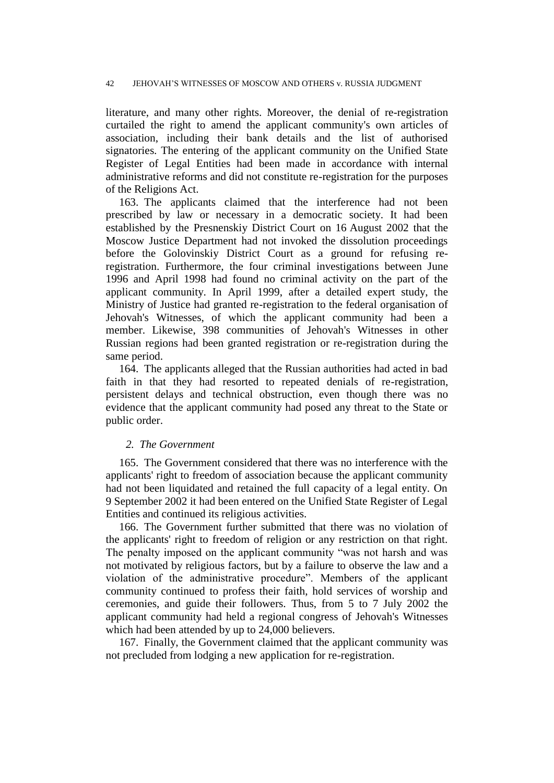literature, and many other rights. Moreover, the denial of re-registration curtailed the right to amend the applicant community's own articles of association, including their bank details and the list of authorised signatories. The entering of the applicant community on the Unified State Register of Legal Entities had been made in accordance with internal administrative reforms and did not constitute re-registration for the purposes of the Religions Act.

163. The applicants claimed that the interference had not been prescribed by law or necessary in a democratic society. It had been established by the Presnenskiy District Court on 16 August 2002 that the Moscow Justice Department had not invoked the dissolution proceedings before the Golovinskiy District Court as a ground for refusing reregistration. Furthermore, the four criminal investigations between June 1996 and April 1998 had found no criminal activity on the part of the applicant community. In April 1999, after a detailed expert study, the Ministry of Justice had granted re-registration to the federal organisation of Jehovah's Witnesses, of which the applicant community had been a member. Likewise, 398 communities of Jehovah's Witnesses in other Russian regions had been granted registration or re-registration during the same period.

164. The applicants alleged that the Russian authorities had acted in bad faith in that they had resorted to repeated denials of re-registration, persistent delays and technical obstruction, even though there was no evidence that the applicant community had posed any threat to the State or public order.

## *2. The Government*

165. The Government considered that there was no interference with the applicants' right to freedom of association because the applicant community had not been liquidated and retained the full capacity of a legal entity. On 9 September 2002 it had been entered on the Unified State Register of Legal Entities and continued its religious activities.

166. The Government further submitted that there was no violation of the applicants' right to freedom of religion or any restriction on that right. The penalty imposed on the applicant community "was not harsh and was not motivated by religious factors, but by a failure to observe the law and a violation of the administrative procedure". Members of the applicant community continued to profess their faith, hold services of worship and ceremonies, and guide their followers. Thus, from 5 to 7 July 2002 the applicant community had held a regional congress of Jehovah's Witnesses which had been attended by up to 24,000 believers.

167. Finally, the Government claimed that the applicant community was not precluded from lodging a new application for re-registration.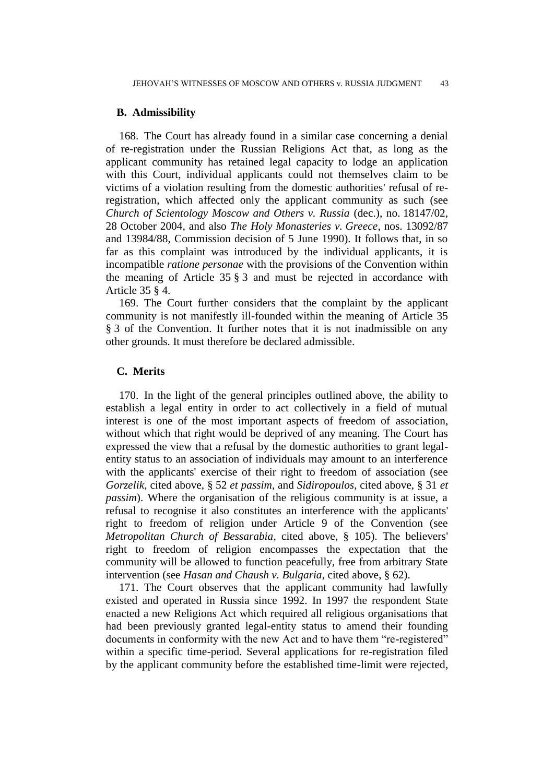#### **B. Admissibility**

168. The Court has already found in a similar case concerning a denial of re-registration under the Russian Religions Act that, as long as the applicant community has retained legal capacity to lodge an application with this Court, individual applicants could not themselves claim to be victims of a violation resulting from the domestic authorities' refusal of reregistration, which affected only the applicant community as such (see *Church of Scientology Moscow and Others v. Russia* (dec.), no. 18147/02, 28 October 2004, and also *The Holy Monasteries v. Greece*, nos. 13092/87 and 13984/88, Commission decision of 5 June 1990). It follows that, in so far as this complaint was introduced by the individual applicants, it is incompatible *ratione personae* with the provisions of the Convention within the meaning of Article 35 § 3 and must be rejected in accordance with Article 35 § 4.

169. The Court further considers that the complaint by the applicant community is not manifestly ill-founded within the meaning of Article 35 § 3 of the Convention. It further notes that it is not inadmissible on any other grounds. It must therefore be declared admissible.

## **C. Merits**

170. In the light of the general principles outlined above, the ability to establish a legal entity in order to act collectively in a field of mutual interest is one of the most important aspects of freedom of association, without which that right would be deprived of any meaning. The Court has expressed the view that a refusal by the domestic authorities to grant legalentity status to an association of individuals may amount to an interference with the applicants' exercise of their right to freedom of association (see *Gorzelik*, cited above, § 52 *et passim*, and *Sidiropoulos*, cited above, § 31 *et passim*). Where the organisation of the religious community is at issue, a refusal to recognise it also constitutes an interference with the applicants' right to freedom of religion under Article 9 of the Convention (see *Metropolitan Church of Bessarabia*, cited above, § 105). The believers' right to freedom of religion encompasses the expectation that the community will be allowed to function peacefully, free from arbitrary State intervention (see *Hasan and Chaush v. Bulgaria*, cited above, § 62).

171. The Court observes that the applicant community had lawfully existed and operated in Russia since 1992. In 1997 the respondent State enacted a new Religions Act which required all religious organisations that had been previously granted legal-entity status to amend their founding documents in conformity with the new Act and to have them "re-registered" within a specific time-period. Several applications for re-registration filed by the applicant community before the established time-limit were rejected,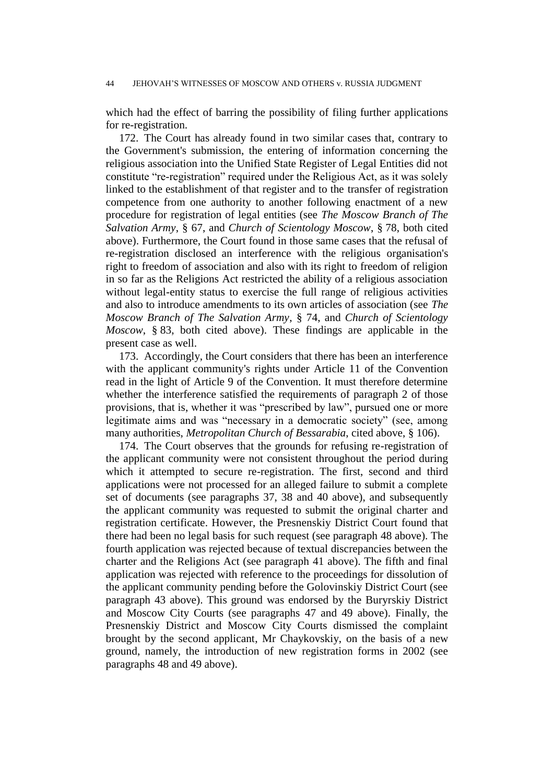which had the effect of barring the possibility of filing further applications for re-registration.

172. The Court has already found in two similar cases that, contrary to the Government's submission, the entering of information concerning the religious association into the Unified State Register of Legal Entities did not constitute "re-registration" required under the Religious Act, as it was solely linked to the establishment of that register and to the transfer of registration competence from one authority to another following enactment of a new procedure for registration of legal entities (see *The Moscow Branch of The Salvation Army*, § 67, and *Church of Scientology Moscow*, § 78, both cited above). Furthermore, the Court found in those same cases that the refusal of re-registration disclosed an interference with the religious organisation's right to freedom of association and also with its right to freedom of religion in so far as the Religions Act restricted the ability of a religious association without legal-entity status to exercise the full range of religious activities and also to introduce amendments to its own articles of association (see *The Moscow Branch of The Salvation Army*, § 74, and *Church of Scientology Moscow*, § 83, both cited above). These findings are applicable in the present case as well.

173. Accordingly, the Court considers that there has been an interference with the applicant community's rights under Article 11 of the Convention read in the light of Article 9 of the Convention. It must therefore determine whether the interference satisfied the requirements of paragraph 2 of those provisions, that is, whether it was "prescribed by law", pursued one or more legitimate aims and was "necessary in a democratic society" (see, among many authorities, *Metropolitan Church of Bessarabia*, cited above, § 106).

174. The Court observes that the grounds for refusing re-registration of the applicant community were not consistent throughout the period during which it attempted to secure re-registration. The first, second and third applications were not processed for an alleged failure to submit a complete set of documents (see paragraphs 37, 38 and 40 above), and subsequently the applicant community was requested to submit the original charter and registration certificate. However, the Presnenskiy District Court found that there had been no legal basis for such request (see paragraph 48 above). The fourth application was rejected because of textual discrepancies between the charter and the Religions Act (see paragraph 41 above). The fifth and final application was rejected with reference to the proceedings for dissolution of the applicant community pending before the Golovinskiy District Court (see paragraph 43 above). This ground was endorsed by the Buryrskiy District and Moscow City Courts (see paragraphs 47 and 49 above). Finally, the Presnenskiy District and Moscow City Courts dismissed the complaint brought by the second applicant, Mr Chaykovskiy, on the basis of a new ground, namely, the introduction of new registration forms in 2002 (see paragraphs 48 and 49 above).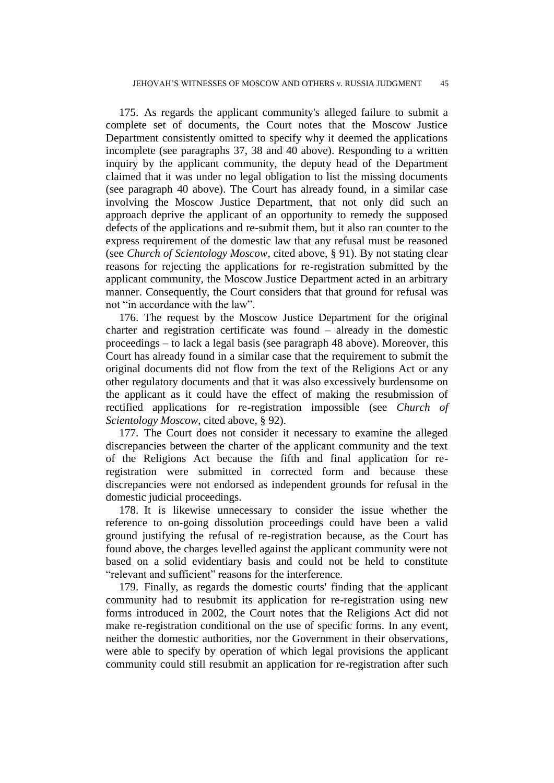175. As regards the applicant community's alleged failure to submit a complete set of documents, the Court notes that the Moscow Justice Department consistently omitted to specify why it deemed the applications incomplete (see paragraphs 37, 38 and 40 above). Responding to a written inquiry by the applicant community, the deputy head of the Department claimed that it was under no legal obligation to list the missing documents (see paragraph 40 above). The Court has already found, in a similar case involving the Moscow Justice Department, that not only did such an approach deprive the applicant of an opportunity to remedy the supposed defects of the applications and re-submit them, but it also ran counter to the express requirement of the domestic law that any refusal must be reasoned (see *Church of Scientology Moscow*, cited above, § 91). By not stating clear reasons for rejecting the applications for re-registration submitted by the applicant community, the Moscow Justice Department acted in an arbitrary manner. Consequently, the Court considers that that ground for refusal was not "in accordance with the law".

176. The request by the Moscow Justice Department for the original charter and registration certificate was found – already in the domestic proceedings – to lack a legal basis (see paragraph 48 above). Moreover, this Court has already found in a similar case that the requirement to submit the original documents did not flow from the text of the Religions Act or any other regulatory documents and that it was also excessively burdensome on the applicant as it could have the effect of making the resubmission of rectified applications for re-registration impossible (see *Church of Scientology Moscow*, cited above, § 92).

177. The Court does not consider it necessary to examine the alleged discrepancies between the charter of the applicant community and the text of the Religions Act because the fifth and final application for reregistration were submitted in corrected form and because these discrepancies were not endorsed as independent grounds for refusal in the domestic judicial proceedings.

178. It is likewise unnecessary to consider the issue whether the reference to on-going dissolution proceedings could have been a valid ground justifying the refusal of re-registration because, as the Court has found above, the charges levelled against the applicant community were not based on a solid evidentiary basis and could not be held to constitute "relevant and sufficient" reasons for the interference.

179. Finally, as regards the domestic courts' finding that the applicant community had to resubmit its application for re-registration using new forms introduced in 2002, the Court notes that the Religions Act did not make re-registration conditional on the use of specific forms. In any event, neither the domestic authorities, nor the Government in their observations, were able to specify by operation of which legal provisions the applicant community could still resubmit an application for re-registration after such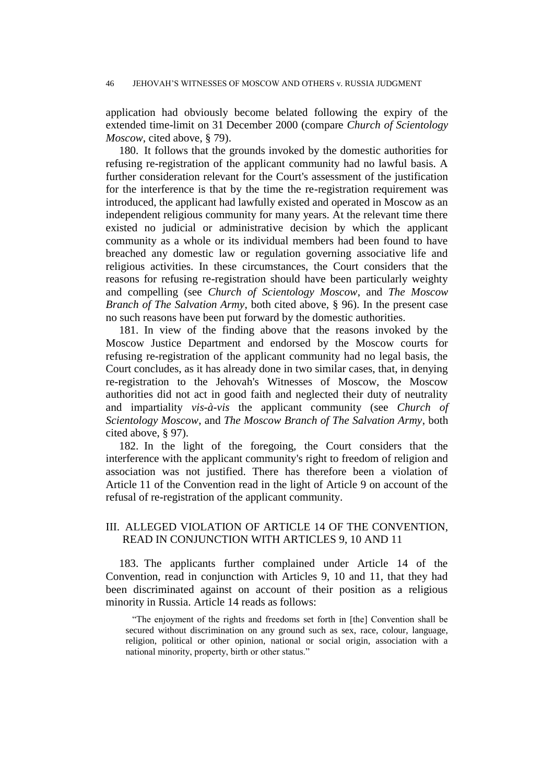application had obviously become belated following the expiry of the extended time-limit on 31 December 2000 (compare *Church of Scientology Moscow*, cited above, § 79).

180. It follows that the grounds invoked by the domestic authorities for refusing re-registration of the applicant community had no lawful basis. A further consideration relevant for the Court's assessment of the justification for the interference is that by the time the re-registration requirement was introduced, the applicant had lawfully existed and operated in Moscow as an independent religious community for many years. At the relevant time there existed no judicial or administrative decision by which the applicant community as a whole or its individual members had been found to have breached any domestic law or regulation governing associative life and religious activities. In these circumstances, the Court considers that the reasons for refusing re-registration should have been particularly weighty and compelling (see *Church of Scientology Moscow*, and *The Moscow Branch of The Salvation Army*, both cited above, § 96). In the present case no such reasons have been put forward by the domestic authorities.

181. In view of the finding above that the reasons invoked by the Moscow Justice Department and endorsed by the Moscow courts for refusing re-registration of the applicant community had no legal basis, the Court concludes, as it has already done in two similar cases, that, in denying re-registration to the Jehovah's Witnesses of Moscow, the Moscow authorities did not act in good faith and neglected their duty of neutrality and impartiality *vis-à-vis* the applicant community (see *Church of Scientology Moscow*, and *The Moscow Branch of The Salvation Army*, both cited above, § 97).

182. In the light of the foregoing, the Court considers that the interference with the applicant community's right to freedom of religion and association was not justified. There has therefore been a violation of Article 11 of the Convention read in the light of Article 9 on account of the refusal of re-registration of the applicant community.

## III. ALLEGED VIOLATION OF ARTICLE 14 OF THE CONVENTION, READ IN CONJUNCTION WITH ARTICLES 9, 10 AND 11

183. The applicants further complained under Article 14 of the Convention, read in conjunction with Articles 9, 10 and 11, that they had been discriminated against on account of their position as a religious minority in Russia. Article 14 reads as follows:

"The enjoyment of the rights and freedoms set forth in [the] Convention shall be secured without discrimination on any ground such as sex, race, colour, language, religion, political or other opinion, national or social origin, association with a national minority, property, birth or other status."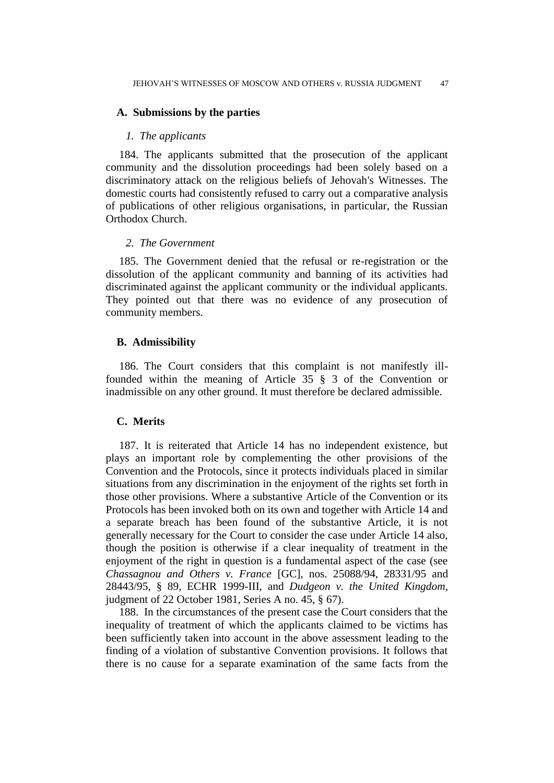### **A. Submissions by the parties**

#### *1. The applicants*

184. The applicants submitted that the prosecution of the applicant community and the dissolution proceedings had been solely based on a discriminatory attack on the religious beliefs of Jehovah's Witnesses. The domestic courts had consistently refused to carry out a comparative analysis of publications of other religious organisations, in particular, the Russian Orthodox Church.

### *2. The Government*

185. The Government denied that the refusal or re-registration or the dissolution of the applicant community and banning of its activities had discriminated against the applicant community or the individual applicants. They pointed out that there was no evidence of any prosecution of community members.

## **B. Admissibility**

186. The Court considers that this complaint is not manifestly illfounded within the meaning of Article 35 § 3 of the Convention or inadmissible on any other ground. It must therefore be declared admissible.

## **C. Merits**

187. It is reiterated that Article 14 has no independent existence, but plays an important role by complementing the other provisions of the Convention and the Protocols, since it protects individuals placed in similar situations from any discrimination in the enjoyment of the rights set forth in those other provisions. Where a substantive Article of the Convention or its Protocols has been invoked both on its own and together with Article 14 and a separate breach has been found of the substantive Article, it is not generally necessary for the Court to consider the case under Article 14 also, though the position is otherwise if a clear inequality of treatment in the enjoyment of the right in question is a fundamental aspect of the case (see *Chassagnou and Others v. France* [GC], nos. 25088/94, 28331/95 and 28443/95, § 89, ECHR 1999-III, and *Dudgeon v. the United Kingdom*, judgment of 22 October 1981, Series A no. 45, § 67).

188. In the circumstances of the present case the Court considers that the inequality of treatment of which the applicants claimed to be victims has been sufficiently taken into account in the above assessment leading to the finding of a violation of substantive Convention provisions. It follows that there is no cause for a separate examination of the same facts from the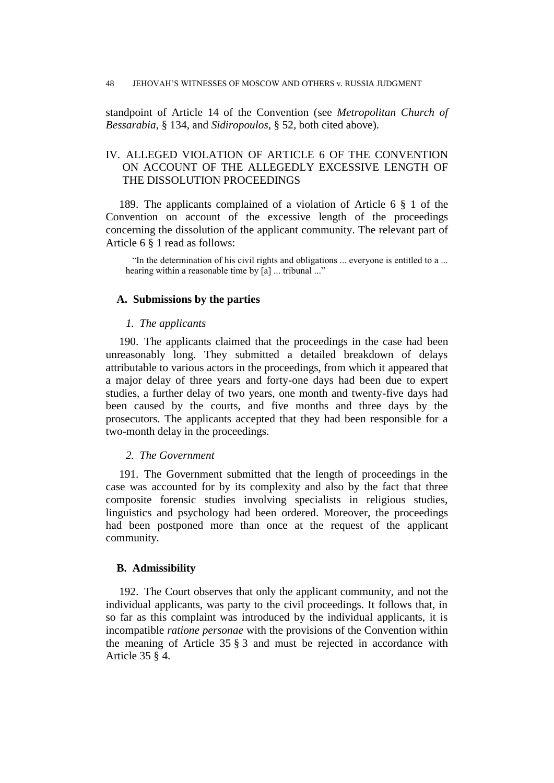standpoint of Article 14 of the Convention (see *Metropolitan Church of Bessarabia*, § 134, and *Sidiropoulos*, § 52, both cited above).

## IV. ALLEGED VIOLATION OF ARTICLE 6 OF THE CONVENTION ON ACCOUNT OF THE ALLEGEDLY EXCESSIVE LENGTH OF THE DISSOLUTION PROCEEDINGS

189. The applicants complained of a violation of Article 6 § 1 of the Convention on account of the excessive length of the proceedings concerning the dissolution of the applicant community. The relevant part of Article 6 § 1 read as follows:

"In the determination of his civil rights and obligations ... everyone is entitled to a ... hearing within a reasonable time by [a] ... tribunal ..."

## **A. Submissions by the parties**

### *1. The applicants*

190. The applicants claimed that the proceedings in the case had been unreasonably long. They submitted a detailed breakdown of delays attributable to various actors in the proceedings, from which it appeared that a major delay of three years and forty-one days had been due to expert studies, a further delay of two years, one month and twenty-five days had been caused by the courts, and five months and three days by the prosecutors. The applicants accepted that they had been responsible for a two-month delay in the proceedings.

## *2. The Government*

191. The Government submitted that the length of proceedings in the case was accounted for by its complexity and also by the fact that three composite forensic studies involving specialists in religious studies, linguistics and psychology had been ordered. Moreover, the proceedings had been postponed more than once at the request of the applicant community.

#### **B. Admissibility**

192. The Court observes that only the applicant community, and not the individual applicants, was party to the civil proceedings. It follows that, in so far as this complaint was introduced by the individual applicants, it is incompatible *ratione personae* with the provisions of the Convention within the meaning of Article 35 § 3 and must be rejected in accordance with Article 35 § 4.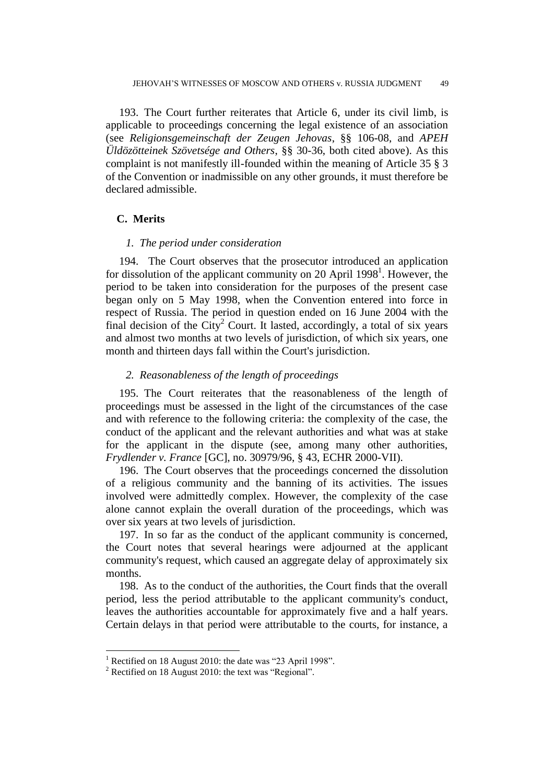193. The Court further reiterates that Article 6, under its civil limb, is applicable to proceedings concerning the legal existence of an association (see *Religionsgemeinschaft der Zeugen Jehovas*, §§ 106-08, and *APEH Üldözötteinek Szövetsége and Others*, §§ 30-36, both cited above). As this complaint is not manifestly ill-founded within the meaning of Article 35 § 3 of the Convention or inadmissible on any other grounds, it must therefore be declared admissible.

## **C. Merits**

#### *1. The period under consideration*

194. The Court observes that the prosecutor introduced an application for dissolution of the applicant community on 20 April 1998<sup>1</sup>. However, the period to be taken into consideration for the purposes of the present case began only on 5 May 1998, when the Convention entered into force in respect of Russia. The period in question ended on 16 June 2004 with the final decision of the City<sup>2</sup> Court. It lasted, accordingly, a total of six years and almost two months at two levels of jurisdiction, of which six years, one month and thirteen days fall within the Court's jurisdiction.

#### *2. Reasonableness of the length of proceedings*

195. The Court reiterates that the reasonableness of the length of proceedings must be assessed in the light of the circumstances of the case and with reference to the following criteria: the complexity of the case, the conduct of the applicant and the relevant authorities and what was at stake for the applicant in the dispute (see, among many other authorities, *Frydlender v. France* [GC], no. 30979/96, § 43, ECHR 2000-VII).

196. The Court observes that the proceedings concerned the dissolution of a religious community and the banning of its activities. The issues involved were admittedly complex. However, the complexity of the case alone cannot explain the overall duration of the proceedings, which was over six years at two levels of jurisdiction.

197. In so far as the conduct of the applicant community is concerned, the Court notes that several hearings were adjourned at the applicant community's request, which caused an aggregate delay of approximately six months.

198. As to the conduct of the authorities, the Court finds that the overall period, less the period attributable to the applicant community's conduct, leaves the authorities accountable for approximately five and a half years. Certain delays in that period were attributable to the courts, for instance, a

 $1$  Rectified on 18 August 2010: the date was "23 April 1998".

<sup>&</sup>lt;sup>2</sup> Rectified on 18 August 2010: the text was "Regional".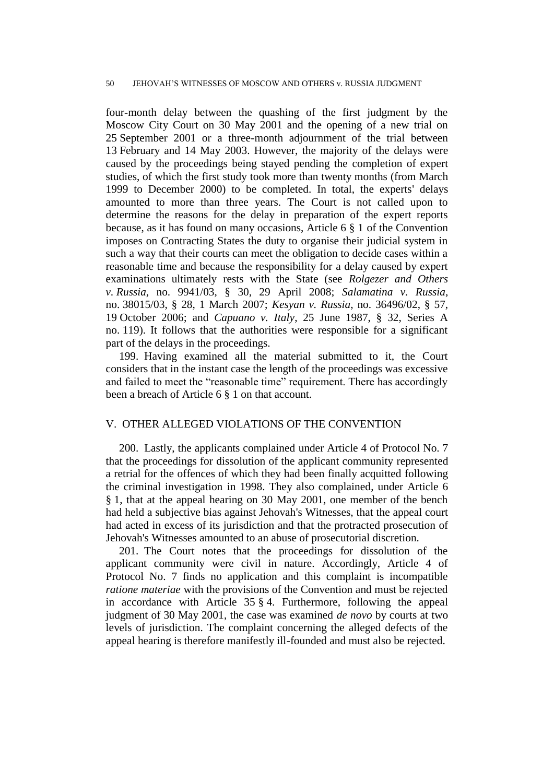four-month delay between the quashing of the first judgment by the Moscow City Court on 30 May 2001 and the opening of a new trial on 25 September 2001 or a three-month adjournment of the trial between 13 February and 14 May 2003. However, the majority of the delays were caused by the proceedings being stayed pending the completion of expert studies, of which the first study took more than twenty months (from March 1999 to December 2000) to be completed. In total, the experts' delays amounted to more than three years. The Court is not called upon to determine the reasons for the delay in preparation of the expert reports because, as it has found on many occasions, Article 6 § 1 of the Convention imposes on Contracting States the duty to organise their judicial system in such a way that their courts can meet the obligation to decide cases within a reasonable time and because the responsibility for a delay caused by expert examinations ultimately rests with the State (see *Rolgezer and Others v. Russia*, no. 9941/03, § 30, 29 April 2008; *Salamatina v. Russia*, no. 38015/03, § 28, 1 March 2007; *Kesyan v. Russia*, no. 36496/02, § 57, 19 October 2006; and *Capuano v. Italy*, 25 June 1987, § 32, Series A no. 119). It follows that the authorities were responsible for a significant part of the delays in the proceedings.

199. Having examined all the material submitted to it, the Court considers that in the instant case the length of the proceedings was excessive and failed to meet the "reasonable time" requirement. There has accordingly been a breach of Article 6 § 1 on that account.

## V. OTHER ALLEGED VIOLATIONS OF THE CONVENTION

200. Lastly, the applicants complained under Article 4 of Protocol No. 7 that the proceedings for dissolution of the applicant community represented a retrial for the offences of which they had been finally acquitted following the criminal investigation in 1998. They also complained, under Article 6 § 1, that at the appeal hearing on 30 May 2001, one member of the bench had held a subjective bias against Jehovah's Witnesses, that the appeal court had acted in excess of its jurisdiction and that the protracted prosecution of Jehovah's Witnesses amounted to an abuse of prosecutorial discretion.

201. The Court notes that the proceedings for dissolution of the applicant community were civil in nature. Accordingly, Article 4 of Protocol No. 7 finds no application and this complaint is incompatible *ratione materiae* with the provisions of the Convention and must be rejected in accordance with Article  $35 \t{0}$  4. Furthermore, following the appeal judgment of 30 May 2001, the case was examined *de novo* by courts at two levels of jurisdiction. The complaint concerning the alleged defects of the appeal hearing is therefore manifestly ill-founded and must also be rejected.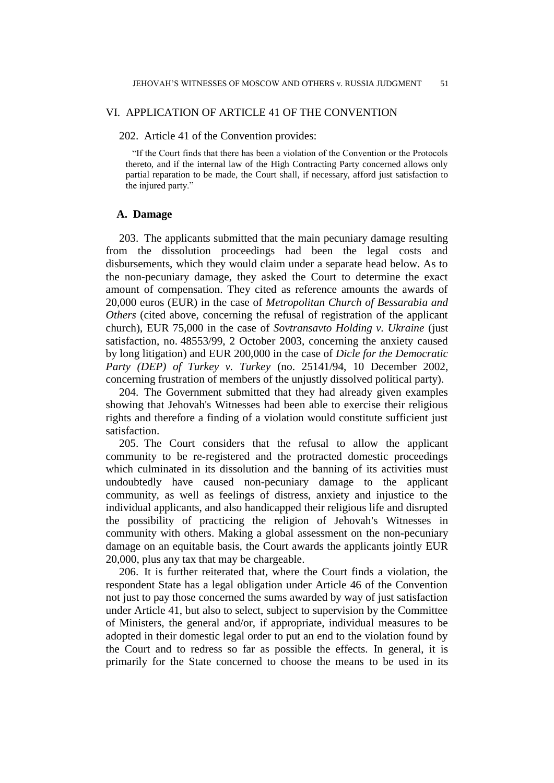## VI. APPLICATION OF ARTICLE 41 OF THE CONVENTION

### 202. Article 41 of the Convention provides:

"If the Court finds that there has been a violation of the Convention or the Protocols thereto, and if the internal law of the High Contracting Party concerned allows only partial reparation to be made, the Court shall, if necessary, afford just satisfaction to the injured party."

## **A. Damage**

203. The applicants submitted that the main pecuniary damage resulting from the dissolution proceedings had been the legal costs and disbursements, which they would claim under a separate head below. As to the non-pecuniary damage, they asked the Court to determine the exact amount of compensation. They cited as reference amounts the awards of 20,000 euros (EUR) in the case of *Metropolitan Church of Bessarabia and Others* (cited above, concerning the refusal of registration of the applicant church), EUR 75,000 in the case of *Sovtransavto Holding v. Ukraine* (just satisfaction, no. 48553/99, 2 October 2003, concerning the anxiety caused by long litigation) and EUR 200,000 in the case of *Dicle for the Democratic Party (DEP) of Turkey v. Turkey* (no. 25141/94, 10 December 2002, concerning frustration of members of the unjustly dissolved political party).

204. The Government submitted that they had already given examples showing that Jehovah's Witnesses had been able to exercise their religious rights and therefore a finding of a violation would constitute sufficient just satisfaction.

205. The Court considers that the refusal to allow the applicant community to be re-registered and the protracted domestic proceedings which culminated in its dissolution and the banning of its activities must undoubtedly have caused non-pecuniary damage to the applicant community, as well as feelings of distress, anxiety and injustice to the individual applicants, and also handicapped their religious life and disrupted the possibility of practicing the religion of Jehovah's Witnesses in community with others. Making a global assessment on the non-pecuniary damage on an equitable basis, the Court awards the applicants jointly EUR 20,000, plus any tax that may be chargeable.

206. It is further reiterated that, where the Court finds a violation, the respondent State has a legal obligation under Article 46 of the Convention not just to pay those concerned the sums awarded by way of just satisfaction under Article 41, but also to select, subject to supervision by the Committee of Ministers, the general and/or, if appropriate, individual measures to be adopted in their domestic legal order to put an end to the violation found by the Court and to redress so far as possible the effects. In general, it is primarily for the State concerned to choose the means to be used in its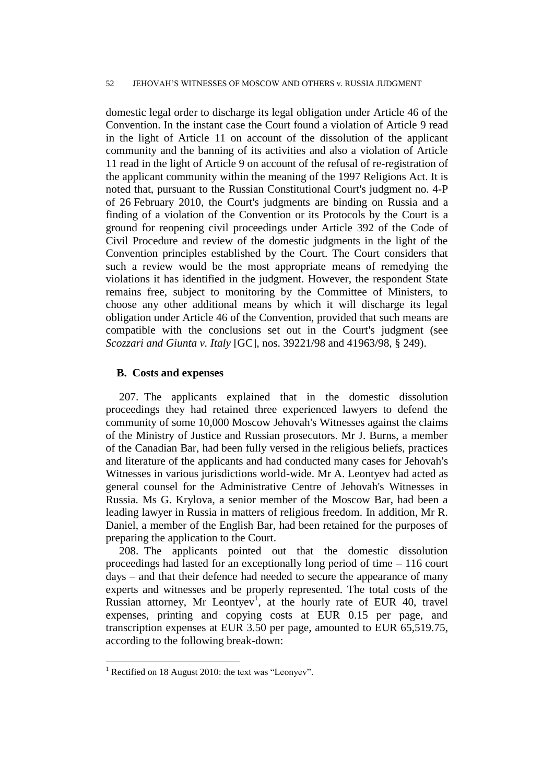domestic legal order to discharge its legal obligation under Article 46 of the Convention. In the instant case the Court found a violation of Article 9 read in the light of Article 11 on account of the dissolution of the applicant community and the banning of its activities and also a violation of Article 11 read in the light of Article 9 on account of the refusal of re-registration of the applicant community within the meaning of the 1997 Religions Act. It is noted that, pursuant to the Russian Constitutional Court's judgment no. 4-P of 26 February 2010, the Court's judgments are binding on Russia and a finding of a violation of the Convention or its Protocols by the Court is a ground for reopening civil proceedings under Article 392 of the Code of Civil Procedure and review of the domestic judgments in the light of the Convention principles established by the Court. The Court considers that such a review would be the most appropriate means of remedying the violations it has identified in the judgment. However, the respondent State remains free, subject to monitoring by the Committee of Ministers, to choose any other additional means by which it will discharge its legal obligation under Article 46 of the Convention, provided that such means are compatible with the conclusions set out in the Court's judgment (see *Scozzari and Giunta v. Italy* [GC], nos. 39221/98 and 41963/98, § 249).

## **B. Costs and expenses**

207. The applicants explained that in the domestic dissolution proceedings they had retained three experienced lawyers to defend the community of some 10,000 Moscow Jehovah's Witnesses against the claims of the Ministry of Justice and Russian prosecutors. Mr J. Burns, a member of the Canadian Bar, had been fully versed in the religious beliefs, practices and literature of the applicants and had conducted many cases for Jehovah's Witnesses in various jurisdictions world-wide. Mr A. Leontyev had acted as general counsel for the Administrative Centre of Jehovah's Witnesses in Russia. Ms G. Krylova, a senior member of the Moscow Bar, had been a leading lawyer in Russia in matters of religious freedom. In addition, Mr R. Daniel, a member of the English Bar, had been retained for the purposes of preparing the application to the Court.

208. The applicants pointed out that the domestic dissolution proceedings had lasted for an exceptionally long period of time – 116 court days – and that their defence had needed to secure the appearance of many experts and witnesses and be properly represented. The total costs of the Russian attorney, Mr Leontyev<sup>1</sup>, at the hourly rate of EUR 40, travel expenses, printing and copying costs at EUR 0.15 per page, and transcription expenses at EUR 3.50 per page, amounted to EUR 65,519.75, according to the following break-down:

<sup>&</sup>lt;sup>1</sup> Rectified on 18 August 2010: the text was "Leonyev".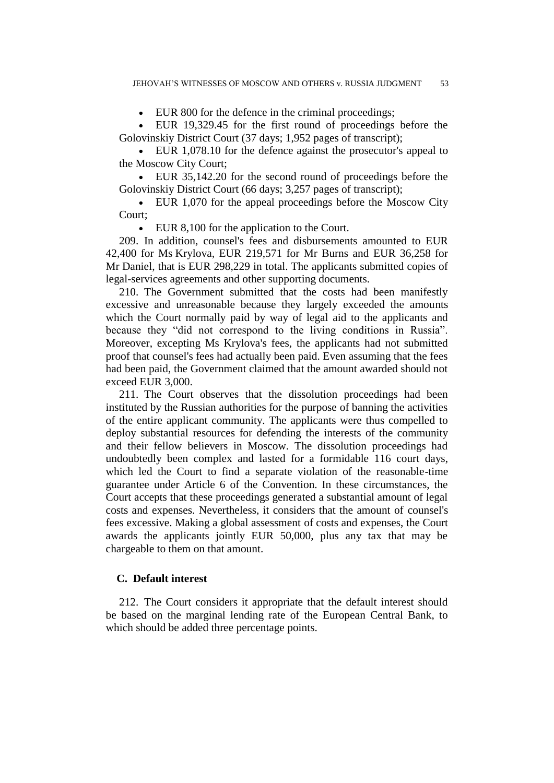EUR 800 for the defence in the criminal proceedings;

 EUR 19,329.45 for the first round of proceedings before the Golovinskiy District Court (37 days; 1,952 pages of transcript);

 EUR 1,078.10 for the defence against the prosecutor's appeal to the Moscow City Court;

 EUR 35,142.20 for the second round of proceedings before the Golovinskiy District Court (66 days; 3,257 pages of transcript);

 EUR 1,070 for the appeal proceedings before the Moscow City Court;

EUR 8,100 for the application to the Court.

209. In addition, counsel's fees and disbursements amounted to EUR 42,400 for Ms Krylova, EUR 219,571 for Mr Burns and EUR 36,258 for Mr Daniel, that is EUR 298,229 in total. The applicants submitted copies of legal-services agreements and other supporting documents.

210. The Government submitted that the costs had been manifestly excessive and unreasonable because they largely exceeded the amounts which the Court normally paid by way of legal aid to the applicants and because they "did not correspond to the living conditions in Russia". Moreover, excepting Ms Krylova's fees, the applicants had not submitted proof that counsel's fees had actually been paid. Even assuming that the fees had been paid, the Government claimed that the amount awarded should not exceed EUR 3,000.

211. The Court observes that the dissolution proceedings had been instituted by the Russian authorities for the purpose of banning the activities of the entire applicant community. The applicants were thus compelled to deploy substantial resources for defending the interests of the community and their fellow believers in Moscow. The dissolution proceedings had undoubtedly been complex and lasted for a formidable 116 court days, which led the Court to find a separate violation of the reasonable-time guarantee under Article 6 of the Convention. In these circumstances, the Court accepts that these proceedings generated a substantial amount of legal costs and expenses. Nevertheless, it considers that the amount of counsel's fees excessive. Making a global assessment of costs and expenses, the Court awards the applicants jointly EUR 50,000, plus any tax that may be chargeable to them on that amount.

## **C. Default interest**

212. The Court considers it appropriate that the default interest should be based on the marginal lending rate of the European Central Bank, to which should be added three percentage points.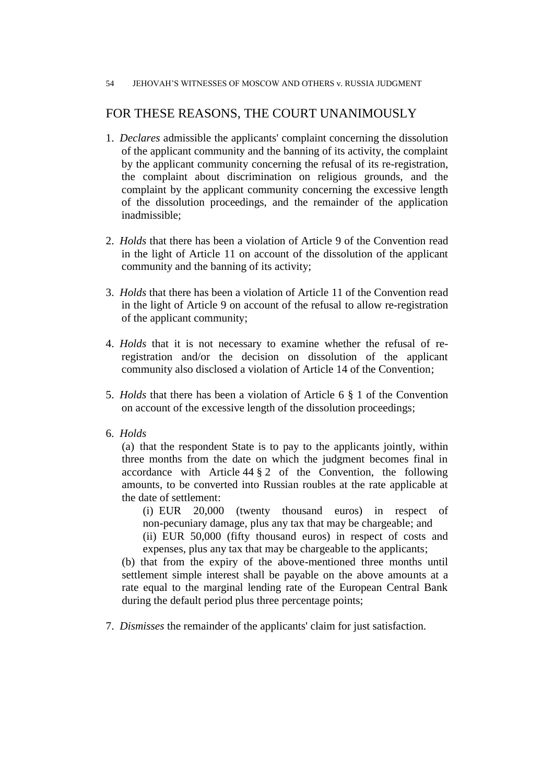## FOR THESE REASONS, THE COURT UNANIMOUSLY

- 1. *Declares* admissible the applicants' complaint concerning the dissolution of the applicant community and the banning of its activity, the complaint by the applicant community concerning the refusal of its re-registration, the complaint about discrimination on religious grounds, and the complaint by the applicant community concerning the excessive length of the dissolution proceedings, and the remainder of the application inadmissible;
- 2. *Holds* that there has been a violation of Article 9 of the Convention read in the light of Article 11 on account of the dissolution of the applicant community and the banning of its activity;
- 3. *Holds* that there has been a violation of Article 11 of the Convention read in the light of Article 9 on account of the refusal to allow re-registration of the applicant community;
- 4. *Holds* that it is not necessary to examine whether the refusal of reregistration and/or the decision on dissolution of the applicant community also disclosed a violation of Article 14 of the Convention;
- 5. *Holds* that there has been a violation of Article 6 § 1 of the Convention on account of the excessive length of the dissolution proceedings;
- 6. *Holds*

(a) that the respondent State is to pay to the applicants jointly, within three months from the date on which the judgment becomes final in accordance with Article  $44 \frac{8}{9}$  2 of the Convention, the following amounts, to be converted into Russian roubles at the rate applicable at the date of settlement:

(i) EUR 20,000 (twenty thousand euros) in respect of non-pecuniary damage, plus any tax that may be chargeable; and

(ii) EUR 50,000 (fifty thousand euros) in respect of costs and expenses, plus any tax that may be chargeable to the applicants;

(b) that from the expiry of the above-mentioned three months until settlement simple interest shall be payable on the above amounts at a rate equal to the marginal lending rate of the European Central Bank during the default period plus three percentage points;

7. *Dismisses* the remainder of the applicants' claim for just satisfaction.